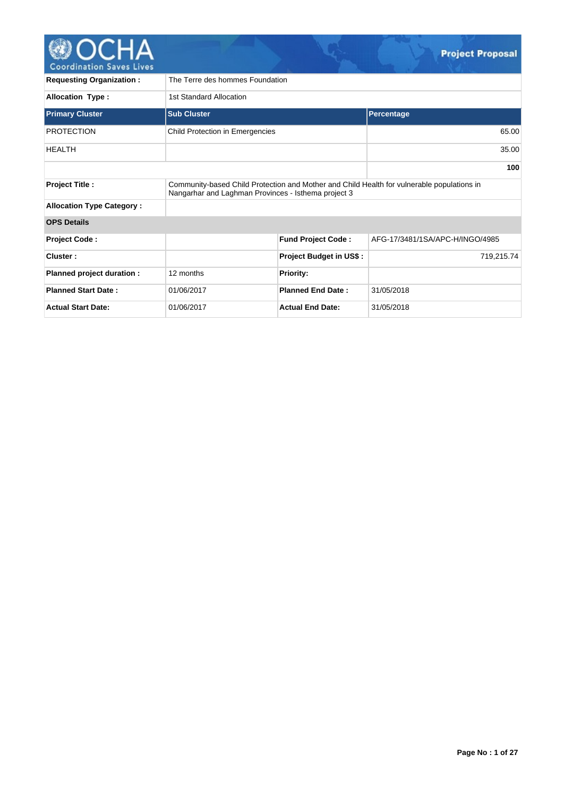

| <b>Requesting Organization:</b>  | The Terre des hommes Foundation                                                                                                                   |                                |                                 |  |  |  |  |  |  |
|----------------------------------|---------------------------------------------------------------------------------------------------------------------------------------------------|--------------------------------|---------------------------------|--|--|--|--|--|--|
| <b>Allocation Type:</b>          | 1st Standard Allocation                                                                                                                           |                                |                                 |  |  |  |  |  |  |
| <b>Primary Cluster</b>           | <b>Sub Cluster</b>                                                                                                                                |                                | Percentage                      |  |  |  |  |  |  |
| <b>PROTECTION</b>                | Child Protection in Emergencies                                                                                                                   |                                | 65.00                           |  |  |  |  |  |  |
| <b>HEALTH</b>                    |                                                                                                                                                   |                                | 35.00                           |  |  |  |  |  |  |
|                                  |                                                                                                                                                   |                                | 100                             |  |  |  |  |  |  |
| <b>Project Title:</b>            | Community-based Child Protection and Mother and Child Health for vulnerable populations in<br>Nangarhar and Laghman Provinces - Isthema project 3 |                                |                                 |  |  |  |  |  |  |
| <b>Allocation Type Category:</b> |                                                                                                                                                   |                                |                                 |  |  |  |  |  |  |
| <b>OPS Details</b>               |                                                                                                                                                   |                                |                                 |  |  |  |  |  |  |
| <b>Project Code:</b>             |                                                                                                                                                   | <b>Fund Project Code:</b>      | AFG-17/3481/1SA/APC-H/INGO/4985 |  |  |  |  |  |  |
| Cluster:                         |                                                                                                                                                   | <b>Project Budget in US\$:</b> | 719,215.74                      |  |  |  |  |  |  |
| Planned project duration :       | 12 months                                                                                                                                         | <b>Priority:</b>               |                                 |  |  |  |  |  |  |
| <b>Planned Start Date:</b>       | 01/06/2017                                                                                                                                        | <b>Planned End Date:</b>       | 31/05/2018                      |  |  |  |  |  |  |
| <b>Actual Start Date:</b>        | 01/06/2017                                                                                                                                        | <b>Actual End Date:</b>        | 31/05/2018                      |  |  |  |  |  |  |

 $\mathbb{C}$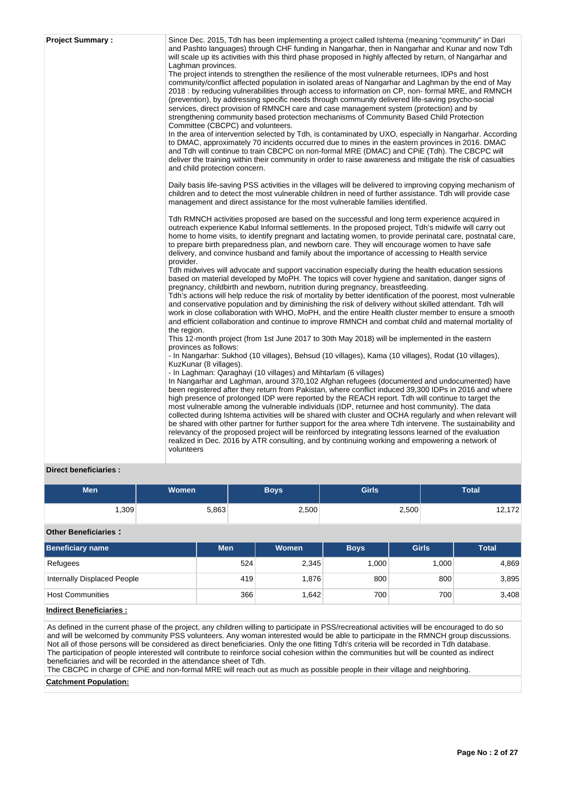| <b>Project Summary:</b> | Since Dec. 2015, Tdh has been implementing a project called Ishtema (meaning "community" in Dari                                                                                                            |
|-------------------------|-------------------------------------------------------------------------------------------------------------------------------------------------------------------------------------------------------------|
|                         | and Pashto languages) through CHF funding in Nangarhar, then in Nangarhar and Kunar and now Tdh                                                                                                             |
|                         | will scale up its activities with this third phase proposed in highly affected by return, of Nangarhar and                                                                                                  |
|                         | Laghman provinces.                                                                                                                                                                                          |
|                         | The project intends to strengthen the resilience of the most vulnerable returnees, IDPs and host<br>community/conflict affected population in isolated areas of Nangarhar and Laghman by the end of May     |
|                         | 2018 : by reducing vulnerabilities through access to information on CP, non-formal MRE, and RMNCH                                                                                                           |
|                         | (prevention), by addressing specific needs through community delivered life-saving psycho-social                                                                                                            |
|                         | services, direct provision of RMNCH care and case management system (protection) and by                                                                                                                     |
|                         | strengthening community based protection mechanisms of Community Based Child Protection                                                                                                                     |
|                         | Committee (CBCPC) and volunteers.                                                                                                                                                                           |
|                         | In the area of intervention selected by Tdh, is contaminated by UXO, especially in Nangarhar. According<br>to DMAC, approximately 70 incidents occurred due to mines in the eastern provinces in 2016. DMAC |
|                         | and Tdh will continue to train CBCPC on non-formal MRE (DMAC) and CPiE (Tdh). The CBCPC will                                                                                                                |
|                         | deliver the training within their community in order to raise awareness and mitigate the risk of casualties                                                                                                 |
|                         | and child protection concern.                                                                                                                                                                               |
|                         | Daily basis life-saving PSS activities in the villages will be delivered to improving copying mechanism of                                                                                                  |
|                         | children and to detect the most vulnerable children in need of further assistance. Tdh will provide case                                                                                                    |
|                         | management and direct assistance for the most vulnerable families identified.                                                                                                                               |
|                         | Tdh RMNCH activities proposed are based on the successful and long term experience acquired in                                                                                                              |
|                         | outreach experience Kabul Informal settlements. In the proposed project, Tdh's midwife will carry out                                                                                                       |
|                         | home to home visits, to identify pregnant and lactating women, to provide perinatal care, postnatal care,                                                                                                   |
|                         | to prepare birth preparedness plan, and newborn care. They will encourage women to have safe<br>delivery, and convince husband and family about the importance of accessing to Health service               |
|                         | provider.                                                                                                                                                                                                   |
|                         | Tdh midwives will advocate and support vaccination especially during the health education sessions                                                                                                          |
|                         | based on material developed by MoPH. The topics will cover hygiene and sanitation, danger signs of                                                                                                          |
|                         | pregnancy, childbirth and newborn, nutrition during pregnancy, breastfeeding.<br>Tdh's actions will help reduce the risk of mortality by better identification of the poorest, most vulnerable              |
|                         | and conservative population and by diminishing the risk of delivery without skilled attendant. Tdh will                                                                                                     |
|                         | work in close collaboration with WHO, MoPH, and the entire Health cluster member to ensure a smooth                                                                                                         |
|                         | and efficient collaboration and continue to improve RMNCH and combat child and maternal mortality of                                                                                                        |
|                         | the region.                                                                                                                                                                                                 |
|                         | This 12-month project (from 1st June 2017 to 30th May 2018) will be implemented in the eastern<br>provinces as follows:                                                                                     |
|                         | - In Nangarhar: Sukhod (10 villages), Behsud (10 villages), Kama (10 villages), Rodat (10 villages),                                                                                                        |
|                         | KuzKunar (8 villages).                                                                                                                                                                                      |
|                         | - In Laghman: Qaraghayi (10 villages) and Mihtarlam (6 villages)                                                                                                                                            |
|                         | In Nangarhar and Laghman, around 370,102 Afghan refugees (documented and undocumented) have                                                                                                                 |
|                         | been registered after they return from Pakistan, where conflict induced 39,300 IDPs in 2016 and where                                                                                                       |
|                         | high presence of prolonged IDP were reported by the REACH report. Tdh will continue to target the<br>most vulnerable among the vulnerable individuals (IDP, returnee and host community). The data          |
|                         | collected during Ishtema activities will be shared with cluster and OCHA regularly and when relevant will                                                                                                   |
|                         | be shared with other partner for further support for the area where Tdh intervene. The sustainability and                                                                                                   |
|                         | relevancy of the proposed project will be reinforced by integrating lessons learned of the evaluation                                                                                                       |
|                         | realized in Dec. 2016 by ATR consulting, and by continuing working and empowering a network of<br>volunteers                                                                                                |
|                         |                                                                                                                                                                                                             |

## **Direct beneficiaries :**

| Men    | <b>Women</b> | <b>Boys</b> | Girls | <b>Total</b>            |
|--------|--------------|-------------|-------|-------------------------|
| ∃309,، | 5,863        | 2,500       | 2,500 | 170<br>14, I <i>I 4</i> |

**Other Beneficiaries :**

| <b>Beneficiary name</b>     | <b>Men</b> | Women | <b>Boys</b> | <b>Girls</b> | <b>Total</b> |
|-----------------------------|------------|-------|-------------|--------------|--------------|
| Refugees                    | 524        | 2,345 | 1.000       | 1,000        | 4,869        |
| Internally Displaced People | 419        | .876  | 800         | 800          | 3,895        |
| <b>Host Communities</b>     | 366        | .642  | 700         | 700          | 3,408        |

## **Indirect Beneficiaries :**

As defined in the current phase of the project, any children willing to participate in PSS/recreational activities will be encouraged to do so and will be welcomed by community PSS volunteers. Any woman interested would be able to participate in the RMNCH group discussions. Not all of those persons will be considered as direct beneficiaries. Only the one fitting Tdh's criteria will be recorded in Tdh database. The participation of people interested will contribute to reinforce social cohesion within the communities but will be counted as indirect beneficiaries and will be recorded in the attendance sheet of Tdh.

The CBCPC in charge of CPiE and non-formal MRE will reach out as much as possible people in their village and neighboring.

#### **Catchment Population:**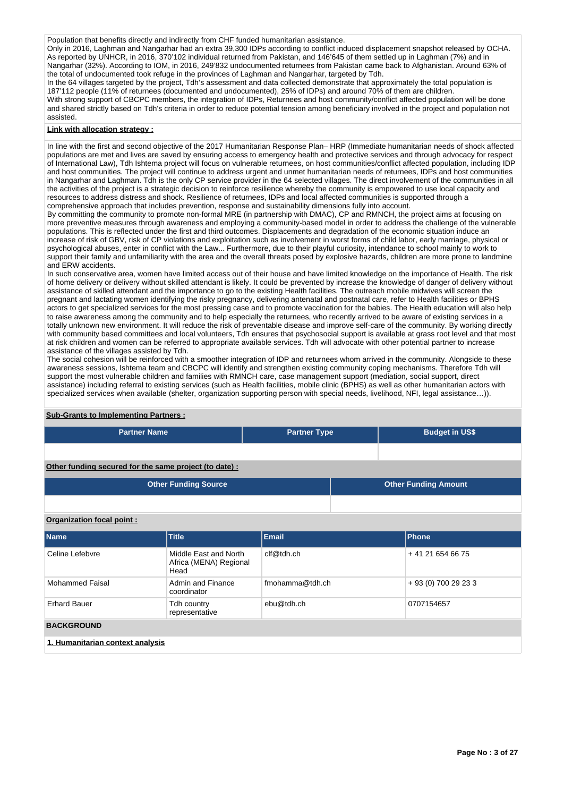Population that benefits directly and indirectly from CHF funded humanitarian assistance.

Only in 2016, Laghman and Nangarhar had an extra 39,300 IDPs according to conflict induced displacement snapshot released by OCHA. As reported by UNHCR, in 2016, 370'102 individual returned from Pakistan, and 146'645 of them settled up in Laghman (7%) and in Nangarhar (32%). According to IOM, in 2016, 249'832 undocumented returnees from Pakistan came back to Afghanistan. Around 63% of the total of undocumented took refuge in the provinces of Laghman and Nangarhar, targeted by Tdh.

In the 64 villages targeted by the project, Tdh's assessment and data collected demonstrate that approximately the total population is 187'112 people (11% of returnees (documented and undocumented), 25% of IDPs) and around 70% of them are children. With strong support of CBCPC members, the integration of IDPs, Returnees and host community/conflict affected population will be done and shared strictly based on Tdh's criteria in order to reduce potential tension among beneficiary involved in the project and population not

## **Link with allocation strategy :**

assisted.

In line with the first and second objective of the 2017 Humanitarian Response Plan– HRP (Immediate humanitarian needs of shock affected populations are met and lives are saved by ensuring access to emergency health and protective services and through advocacy for respect of International Law), Tdh Ishtema project will focus on vulnerable returnees, on host communities/conflict affected population, including IDP and host communities. The project will continue to address urgent and unmet humanitarian needs of returnees, IDPs and host communities in Nangarhar and Laghman. Tdh is the only CP service provider in the 64 selected villages. The direct involvement of the communities in all the activities of the project is a strategic decision to reinforce resilience whereby the community is empowered to use local capacity and resources to address distress and shock. Resilience of returnees, IDPs and local affected communities is supported through a comprehensive approach that includes prevention, response and sustainability dimensions fully into account.

By committing the community to promote non-formal MRE (in partnership with DMAC), CP and RMNCH, the project aims at focusing on more preventive measures through awareness and employing a community-based model in order to address the challenge of the vulnerable populations. This is reflected under the first and third outcomes. Displacements and degradation of the economic situation induce an increase of risk of GBV, risk of CP violations and exploitation such as involvement in worst forms of child labor, early marriage, physical or psychological abuses, enter in conflict with the Law... Furthermore, due to their playful curiosity, intendance to school mainly to work to support their family and unfamiliarity with the area and the overall threats posed by explosive hazards, children are more prone to landmine and ERW accidents.

In such conservative area, women have limited access out of their house and have limited knowledge on the importance of Health. The risk of home delivery or delivery without skilled attendant is likely. It could be prevented by increase the knowledge of danger of delivery without assistance of skilled attendant and the importance to go to the existing Health facilities. The outreach mobile midwives will screen the pregnant and lactating women identifying the risky pregnancy, delivering antenatal and postnatal care, refer to Health facilities or BPHS actors to get specialized services for the most pressing case and to promote vaccination for the babies. The Health education will also help to raise awareness among the community and to help especially the returnees, who recently arrived to be aware of existing services in a totally unknown new environment. It will reduce the risk of preventable disease and improve self-care of the community. By working directly with community based committees and local volunteers, Tdh ensures that psychosocial support is available at grass root level and that most at risk children and women can be referred to appropriate available services. Tdh will advocate with other potential partner to increase assistance of the villages assisted by Tdh.

The social cohesion will be reinforced with a smoother integration of IDP and returnees whom arrived in the community. Alongside to these awareness sessions, Ishtema team and CBCPC will identify and strengthen existing community coping mechanisms. Therefore Tdh will support the most vulnerable children and families with RMNCH care, case management support (mediation, social support, direct assistance) including referral to existing services (such as Health facilities, mobile clinic (BPHS) as well as other humanitarian actors with specialized services when available (shelter, organization supporting person with special needs, livelihood, NFI, legal assistance...)).

# **Partner Name Partner Type Budget in US\$ Other funding secured for the same project (to date) : Other Funding Source Construction Construction Construction Construction Construction Construction Construction Construction Construction Construction Construction Construction Construction Construction Construction Co**

## **Organization focal point :**

**Sub-Grants to Implementing Partners :**

| <b>Name</b>                      | <b>Title</b>                                            | Email           | Phone                |  |  |  |
|----------------------------------|---------------------------------------------------------|-----------------|----------------------|--|--|--|
| Celine Lefebvre                  | Middle East and North<br>Africa (MENA) Regional<br>Head | clf@tdh.ch      | +41 21 654 66 75     |  |  |  |
| Mohammed Faisal                  | Admin and Finance<br>coordinator                        | fmohamma@tdh.ch | + 93 (0) 700 29 23 3 |  |  |  |
| <b>Erhard Bauer</b>              | Tdh country<br>representative                           | ebu@tdh.ch      | 0707154657           |  |  |  |
| <b>BACKGROUND</b>                |                                                         |                 |                      |  |  |  |
| 1. Humanitarian context analysis |                                                         |                 |                      |  |  |  |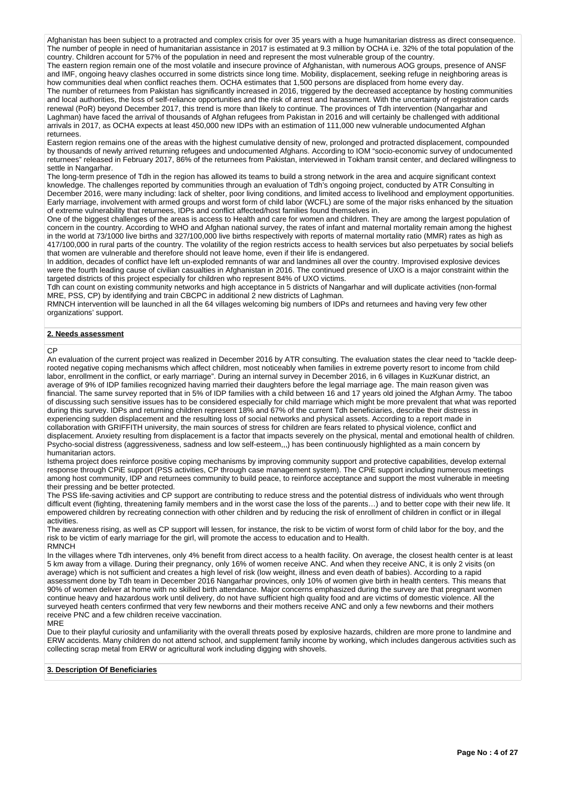Afghanistan has been subject to a protracted and complex crisis for over 35 years with a huge humanitarian distress as direct consequence. The number of people in need of humanitarian assistance in 2017 is estimated at 9.3 million by OCHA i.e. 32% of the total population of the country. Children account for 57% of the population in need and represent the most vulnerable group of the country.

The eastern region remain one of the most volatile and insecure province of Afghanistan, with numerous AOG groups, presence of ANSF and IMF, ongoing heavy clashes occurred in some districts since long time. Mobility, displacement, seeking refuge in neighboring areas is how communities deal when conflict reaches them. OCHA estimates that 1,500 persons are displaced from home every day.

The number of returnees from Pakistan has significantly increased in 2016, triggered by the decreased acceptance by hosting communities and local authorities, the loss of self-reliance opportunities and the risk of arrest and harassment. With the uncertainty of registration cards renewal (PoR) beyond December 2017, this trend is more than likely to continue. The provinces of Tdh intervention (Nangarhar and Laghman) have faced the arrival of thousands of Afghan refugees from Pakistan in 2016 and will certainly be challenged with additional arrivals in 2017, as OCHA expects at least 450,000 new IDPs with an estimation of 111,000 new vulnerable undocumented Afghan returnees.

Eastern region remains one of the areas with the highest cumulative density of new, prolonged and protracted displacement, compounded by thousands of newly arrived returning refugees and undocumented Afghans. According to IOM "socio-economic survey of undocumented returnees" released in February 2017, 86% of the returnees from Pakistan, interviewed in Tokham transit center, and declared willingness to settle in Nangarhar.

The long-term presence of Tdh in the region has allowed its teams to build a strong network in the area and acquire significant context knowledge. The challenges reported by communities through an evaluation of Tdh's ongoing project, conducted by ATR Consulting in December 2016, were many including: lack of shelter, poor living conditions, and limited access to livelihood and employment opportunities. Early marriage, involvement with armed groups and worst form of child labor (WCFL) are some of the major risks enhanced by the situation of extreme vulnerability that returnees, IDPs and conflict affected/host families found themselves in.

One of the biggest challenges of the areas is access to Health and care for women and children. They are among the largest population of concern in the country. According to WHO and Afghan national survey, the rates of infant and maternal mortality remain among the highest in the world at 73/1000 live births and 327/100,000 live births respectively with reports of maternal mortality ratio (MMR) rates as high as 417/100,000 in rural parts of the country. The volatility of the region restricts access to health services but also perpetuates by social beliefs that women are vulnerable and therefore should not leave home, even if their life is endangered.

In addition, decades of conflict have left un-exploded remnants of war and landmines all over the country. Improvised explosive devices were the fourth leading cause of civilian casualties in Afghanistan in 2016. The continued presence of UXO is a major constraint within the targeted districts of this project especially for children who represent 84% of UXO victims.

Tdh can count on existing community networks and high acceptance in 5 districts of Nangarhar and will duplicate activities (non-formal MRE, PSS, CP) by identifying and train CBCPC in additional 2 new districts of Laghman.

RMNCH intervention will be launched in all the 64 villages welcoming big numbers of IDPs and returnees and having very few other organizations' support.

#### **2. Needs assessment**

CP

An evaluation of the current project was realized in December 2016 by ATR consulting. The evaluation states the clear need to "tackle deeprooted negative coping mechanisms which affect children, most noticeably when families in extreme poverty resort to income from child labor, enrollment in the conflict, or early marriage". During an internal survey in December 2016, in 6 villages in KuzKunar district, an average of 9% of IDP families recognized having married their daughters before the legal marriage age. The main reason given was financial. The same survey reported that in 5% of IDP families with a child between 16 and 17 years old joined the Afghan Army. The taboo of discussing such sensitive issues has to be considered especially for child marriage which might be more prevalent that what was reported during this survey. IDPs and returning children represent 18% and 67% of the current Tdh beneficiaries, describe their distress in experiencing sudden displacement and the resulting loss of social networks and physical assets. According to a report made in collaboration with GRIFFITH university, the main sources of stress for children are fears related to physical violence, conflict and displacement. Anxiety resulting from displacement is a factor that impacts severely on the physical, mental and emotional health of children. Psycho-social distress (aggressiveness, sadness and low self-esteem,,,) has been continuously highlighted as a main concern by humanitarian actors.

Isthema project does reinforce positive coping mechanisms by improving community support and protective capabilities, develop external response through CPiE support (PSS activities, CP through case management system). The CPiE support including numerous meetings among host community, IDP and returnees community to build peace, to reinforce acceptance and support the most vulnerable in meeting their pressing and be better protected.

The PSS life-saving activities and CP support are contributing to reduce stress and the potential distress of individuals who went through difficult event (fighting, threatening family members and in the worst case the loss of the parents…) and to better cope with their new life. It empowered children by recreating connection with other children and by reducing the risk of enrollment of children in conflict or in illegal activities.

The awareness rising, as well as CP support will lessen, for instance, the risk to be victim of worst form of child labor for the boy, and the risk to be victim of early marriage for the girl, will promote the access to education and to Health. RMNCH

In the villages where Tdh intervenes, only 4% benefit from direct access to a health facility. On average, the closest health center is at least 5 km away from a village. During their pregnancy, only 16% of women receive ANC. And when they receive ANC, it is only 2 visits (on average) which is not sufficient and creates a high level of risk (low weight, illness and even death of babies). According to a rapid assessment done by Tdh team in December 2016 Nangarhar provinces, only 10% of women give birth in health centers. This means that 90% of women deliver at home with no skilled birth attendance. Major concerns emphasized during the survey are that pregnant women continue heavy and hazardous work until delivery, do not have sufficient high quality food and are victims of domestic violence. All the surveyed heath centers confirmed that very few newborns and their mothers receive ANC and only a few newborns and their mothers receive PNC and a few children receive vaccination.

#### MRE

Due to their playful curiosity and unfamiliarity with the overall threats posed by explosive hazards, children are more prone to landmine and ERW accidents. Many children do not attend school, and supplement family income by working, which includes dangerous activities such as collecting scrap metal from ERW or agricultural work including digging with shovels.

### **3. Description Of Beneficiaries**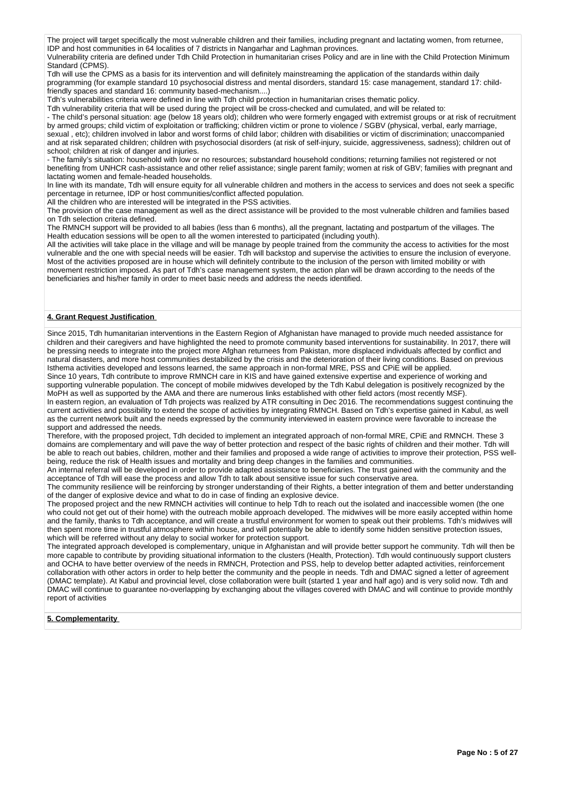The project will target specifically the most vulnerable children and their families, including pregnant and lactating women, from returnee, IDP and host communities in 64 localities of 7 districts in Nangarhar and Laghman provinces.

Vulnerability criteria are defined under Tdh Child Protection in humanitarian crises Policy and are in line with the Child Protection Minimum Standard (CPMS)

Tdh will use the CPMS as a basis for its intervention and will definitely mainstreaming the application of the standards within daily programming (for example standard 10 psychosocial distress and mental disorders, standard 15: case management, standard 17: childfriendly spaces and standard 16: community based-mechanism....)

Tdh's vulnerabilities criteria were defined in line with Tdh child protection in humanitarian crises thematic policy.

Tdh vulnerability criteria that will be used during the project will be cross-checked and cumulated, and will be related to:

- The child's personal situation: age (below 18 years old); children who were formerly engaged with extremist groups or at risk of recruitment by armed groups; child victim of exploitation or trafficking; children victim or prone to violence / SGBV (physical, verbal, early marriage, sexual , etc); children involved in labor and worst forms of child labor; children with disabilities or victim of discrimination; unaccompanied

and at risk separated children; children with psychosocial disorders (at risk of self-injury, suicide, aggressiveness, sadness); children out of school; children at risk of danger and injuries.

- The family's situation: household with low or no resources; substandard household conditions; returning families not registered or not benefiting from UNHCR cash-assistance and other relief assistance; single parent family; women at risk of GBV; families with pregnant and lactating women and female-headed households.

In line with its mandate, Tdh will ensure equity for all vulnerable children and mothers in the access to services and does not seek a specific percentage in returnee, IDP or host communities/conflict affected population.

All the children who are interested will be integrated in the PSS activities.

The provision of the case management as well as the direct assistance will be provided to the most vulnerable children and families based on Tdh selection criteria defined.

The RMNCH support will be provided to all babies (less than 6 months), all the pregnant, lactating and postpartum of the villages. The Health education sessions will be open to all the women interested to participated (including youth).

All the activities will take place in the village and will be manage by people trained from the community the access to activities for the most vulnerable and the one with special needs will be easier. Tdh will backstop and supervise the activities to ensure the inclusion of everyone. Most of the activities proposed are in house which will definitely contribute to the inclusion of the person with limited mobility or with movement restriction imposed. As part of Tdh's case management system, the action plan will be drawn according to the needs of the beneficiaries and his/her family in order to meet basic needs and address the needs identified.

## **4. Grant Request Justification**

Since 2015, Tdh humanitarian interventions in the Eastern Region of Afghanistan have managed to provide much needed assistance for children and their caregivers and have highlighted the need to promote community based interventions for sustainability. In 2017, there will be pressing needs to integrate into the project more Afghan returnees from Pakistan, more displaced individuals affected by conflict and natural disasters, and more host communities destabilized by the crisis and the deterioration of their living conditions. Based on previous Isthema activities developed and lessons learned, the same approach in non-formal MRE, PSS and CPiE will be applied.

Since 10 years, Tdh contribute to improve RMNCH care in KIS and have gained extensive expertise and experience of working and supporting vulnerable population. The concept of mobile midwives developed by the Tdh Kabul delegation is positively recognized by the MoPH as well as supported by the AMA and there are numerous links established with other field actors (most recently MSF). In eastern region, an evaluation of Tdh projects was realized by ATR consulting in Dec 2016. The recommendations suggest continuing the current activities and possibility to extend the scope of activities by integrating RMNCH. Based on Tdh's expertise gained in Kabul, as well as the current network built and the needs expressed by the community interviewed in eastern province were favorable to increase the support and addressed the needs.

Therefore, with the proposed project, Tdh decided to implement an integrated approach of non-formal MRE, CPiE and RMNCH. These 3 domains are complementary and will pave the way of better protection and respect of the basic rights of children and their mother. Tdh will be able to reach out babies, children, mother and their families and proposed a wide range of activities to improve their protection, PSS wellbeing, reduce the risk of Health issues and mortality and bring deep changes in the families and communities.

An internal referral will be developed in order to provide adapted assistance to beneficiaries. The trust gained with the community and the acceptance of Tdh will ease the process and allow Tdh to talk about sensitive issue for such conservative area.

The community resilience will be reinforcing by stronger understanding of their Rights, a better integration of them and better understanding of the danger of explosive device and what to do in case of finding an explosive device.

The proposed project and the new RMNCH activities will continue to help Tdh to reach out the isolated and inaccessible women (the one who could not get out of their home) with the outreach mobile approach developed. The midwives will be more easily accepted within home and the family, thanks to Tdh acceptance, and will create a trustful environment for women to speak out their problems. Tdh's midwives will then spent more time in trustful atmosphere within house, and will potentially be able to identify some hidden sensitive protection issues, which will be referred without any delay to social worker for protection support.

The integrated approach developed is complementary, unique in Afghanistan and will provide better support he community. Tdh will then be more capable to contribute by providing situational information to the clusters (Health, Protection). Tdh would continuously support clusters and OCHA to have better overview of the needs in RMNCH, Protection and PSS, help to develop better adapted activities, reinforcement collaboration with other actors in order to help better the community and the people in needs. Tdh and DMAC signed a letter of agreement (DMAC template). At Kabul and provincial level, close collaboration were built (started 1 year and half ago) and is very solid now. Tdh and DMAC will continue to guarantee no-overlapping by exchanging about the villages covered with DMAC and will continue to provide monthly report of activities

## **5. Complementarity**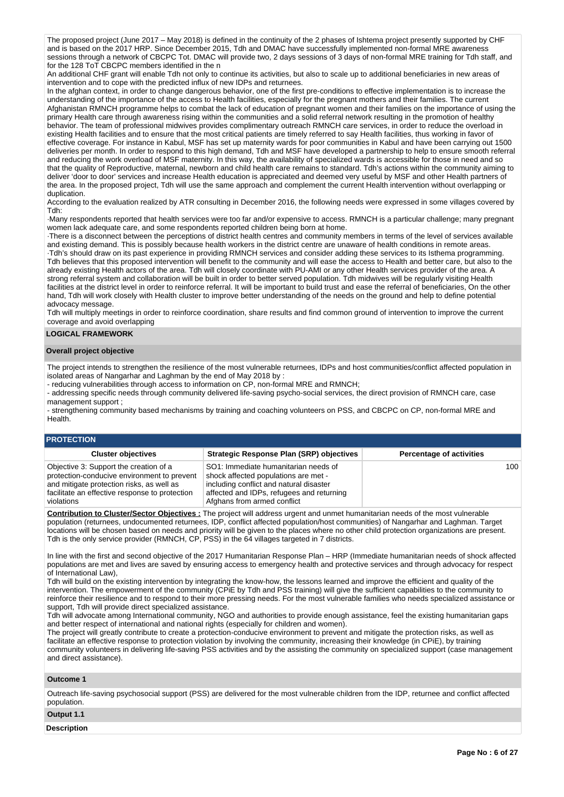The proposed project (June 2017 – May 2018) is defined in the continuity of the 2 phases of Ishtema project presently supported by CHF and is based on the 2017 HRP. Since December 2015, Tdh and DMAC have successfully implemented non-formal MRE awareness sessions through a network of CBCPC Tot. DMAC will provide two, 2 days sessions of 3 days of non-formal MRE training for Tdh staff, and for the 128 ToT CBCPC members identified in the n

An additional CHF grant will enable Tdh not only to continue its activities, but also to scale up to additional beneficiaries in new areas of intervention and to cope with the predicted influx of new IDPs and returnees.

In the afghan context, in order to change dangerous behavior, one of the first pre-conditions to effective implementation is to increase the understanding of the importance of the access to Health facilities, especially for the pregnant mothers and their families. The current Afghanistan RMNCH programme helps to combat the lack of education of pregnant women and their families on the importance of using the primary Health care through awareness rising within the communities and a solid referral network resulting in the promotion of healthy behavior. The team of professional midwives provides complimentary outreach RMNCH care services, in order to reduce the overload in existing Health facilities and to ensure that the most critical patients are timely referred to say Health facilities, thus working in favor of effective coverage. For instance in Kabul, MSF has set up maternity wards for poor communities in Kabul and have been carrying out 1500 deliveries per month. In order to respond to this high demand, Tdh and MSF have developed a partnership to help to ensure smooth referral and reducing the work overload of MSF maternity. In this way, the availability of specialized wards is accessible for those in need and so that the quality of Reproductive, maternal, newborn and child health care remains to standard. Tdh's actions within the community aiming to deliver 'door to door' services and increase Health education is appreciated and deemed very useful by MSF and other Health partners of the area. In the proposed project, Tdh will use the same approach and complement the current Health intervention without overlapping or duplication.

According to the evaluation realized by ATR consulting in December 2016, the following needs were expressed in some villages covered by Tdh:

·Many respondents reported that health services were too far and/or expensive to access. RMNCH is a particular challenge; many pregnant women lack adequate care, and some respondents reported children being born at home.

·There is a disconnect between the perceptions of district health centres and community members in terms of the level of services available and existing demand. This is possibly because health workers in the district centre are unaware of health conditions in remote areas. ·Tdh's should draw on its past experience in providing RMNCH services and consider adding these services to its Isthema programming. Tdh believes that this proposed intervention will benefit to the community and will ease the access to Health and better care, but also to the already existing Health actors of the area. Tdh will closely coordinate with PU-AMI or any other Health services provider of the area. A strong referral system and collaboration will be built in order to better served population. Tdh midwives will be regularly visiting Health facilities at the district level in order to reinforce referral. It will be important to build trust and ease the referral of beneficiaries, On the other hand, Tdh will work closely with Health cluster to improve better understanding of the needs on the ground and help to define potential advocacy message.

Tdh will multiply meetings in order to reinforce coordination, share results and find common ground of intervention to improve the current coverage and avoid overlapping

## **LOGICAL FRAMEWORK**

### **Overall project objective**

The project intends to strengthen the resilience of the most vulnerable returnees, IDPs and host communities/conflict affected population in isolated areas of Nangarhar and Laghman by the end of May 2018 by :

- reducing vulnerabilities through access to information on CP, non-formal MRE and RMNCH;

- addressing specific needs through community delivered life-saving psycho-social services, the direct provision of RMNCH care, case management support :

- strengthening community based mechanisms by training and coaching volunteers on PSS, and CBCPC on CP, non-formal MRE and Health.

## **PROTECTION**

| <b>Cluster objectives</b>                                                                                                                                                                          | <b>Strategic Response Plan (SRP) objectives</b>                                                                                                                                                     | <b>Percentage of activities</b> |
|----------------------------------------------------------------------------------------------------------------------------------------------------------------------------------------------------|-----------------------------------------------------------------------------------------------------------------------------------------------------------------------------------------------------|---------------------------------|
| Objective 3: Support the creation of a<br>protection-conducive environment to prevent<br>and mitigate protection risks, as well as<br>facilitate an effective response to protection<br>violations | SO1: Immediate humanitarian needs of<br>shock affected populations are met -<br>including conflict and natural disaster<br>affected and IDPs, refugees and returning<br>Afghans from armed conflict | 100                             |

**Contribution to Cluster/Sector Objectives :** The project will address urgent and unmet humanitarian needs of the most vulnerable population (returnees, undocumented returnees, IDP, conflict affected population/host communities) of Nangarhar and Laghman. Target locations will be chosen based on needs and priority will be given to the places where no other child protection organizations are present. Tdh is the only service provider (RMNCH, CP, PSS) in the 64 villages targeted in 7 districts.

In line with the first and second objective of the 2017 Humanitarian Response Plan – HRP (Immediate humanitarian needs of shock affected populations are met and lives are saved by ensuring access to emergency health and protective services and through advocacy for respect of International Law),

Tdh will build on the existing intervention by integrating the know-how, the lessons learned and improve the efficient and quality of the intervention. The empowerment of the community (CPiE by Tdh and PSS training) will give the sufficient capabilities to the community to reinforce their resilience and to respond to their more pressing needs. For the most vulnerable families who needs specialized assistance or support, Tdh will provide direct specialized assistance.

Tdh will advocate among International community, NGO and authorities to provide enough assistance, feel the existing humanitarian gaps and better respect of international and national rights (especially for children and women).

The project will greatly contribute to create a protection-conducive environment to prevent and mitigate the protection risks, as well as facilitate an effective response to protection violation by involving the community, increasing their knowledge (in CPiE), by training community volunteers in delivering life-saving PSS activities and by the assisting the community on specialized support (case management and direct assistance).

#### **Outcome 1**

Outreach life-saving psychosocial support (PSS) are delivered for the most vulnerable children from the IDP, returnee and conflict affected population.

## **Output 1.1**

**Description**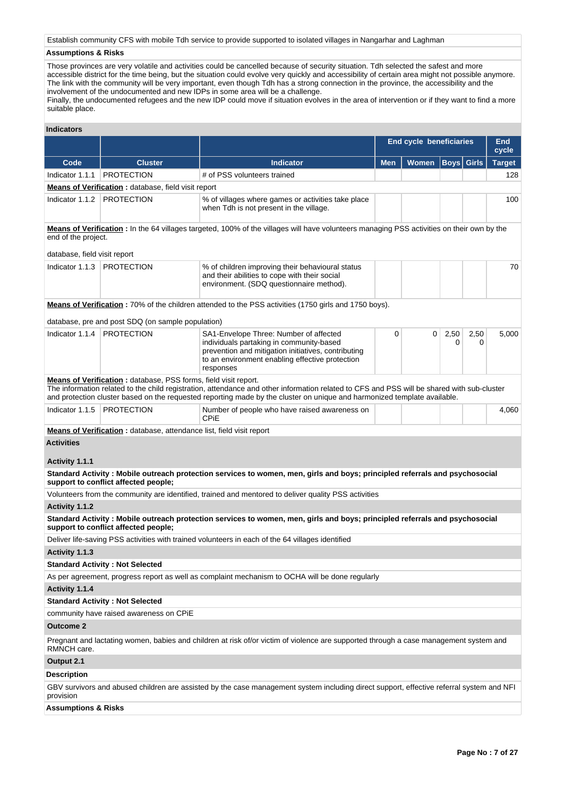Establish community CFS with mobile Tdh service to provide supported to isolated villages in Nangarhar and Laghman

## **Assumptions & Risks**

Those provinces are very volatile and activities could be cancelled because of security situation. Tdh selected the safest and more accessible district for the time being, but the situation could evolve very quickly and accessibility of certain area might not possible anymore. The link with the community will be very important, even though Tdh has a strong connection in the province, the accessibility and the involvement of the undocumented and new IDPs in some area will be a challenge. Finally, the undocumented refugees and the new IDP could move if situation evolves in the area of intervention or if they want to find a more suitable place.

| End cycle beneficiaries<br><b>Boys</b> Girls<br>Code<br><b>Indicator</b><br><b>Men</b><br><b>Women</b><br><b>Cluster</b><br><b>PROTECTION</b><br># of PSS volunteers trained<br>Indicator 1.1.1<br><b>Means of Verification:</b> database, field visit report<br>Indicator 1.1.2<br><b>PROTECTION</b><br>% of villages where games or activities take place<br>when Tdh is not present in the village.<br>Means of Verification : In the 64 villages targeted, 100% of the villages will have volunteers managing PSS activities on their own by the<br>end of the project.<br>database, field visit report<br><b>PROTECTION</b><br>Indicator 1.1.3<br>% of children improving their behavioural status<br>and their abilities to cope with their social<br>environment. (SDQ questionnaire method).<br><b>Means of Verification:</b> 70% of the children attended to the PSS activities (1750 girls and 1750 boys).<br>database, pre and post SDQ (on sample population)<br>Indicator 1.1.4   PROTECTION<br>2,50<br>SA1-Envelope Three: Number of affected<br>0<br>0<br>2,50<br>individuals partaking in community-based<br>0<br>0<br>prevention and mitigation initiatives, contributing<br>to an environment enabling effective protection<br>responses<br>Means of Verification: database, PSS forms, field visit report.<br>The information related to the child registration, attendance and other information related to CFS and PSS will be shared with sub-cluster<br>and protection cluster based on the requested reporting made by the cluster on unique and harmonized template available. | <b>End</b><br>cycle<br><b>Target</b><br>128<br>100<br>70<br>5,000 |
|---------------------------------------------------------------------------------------------------------------------------------------------------------------------------------------------------------------------------------------------------------------------------------------------------------------------------------------------------------------------------------------------------------------------------------------------------------------------------------------------------------------------------------------------------------------------------------------------------------------------------------------------------------------------------------------------------------------------------------------------------------------------------------------------------------------------------------------------------------------------------------------------------------------------------------------------------------------------------------------------------------------------------------------------------------------------------------------------------------------------------------------------------------------------------------------------------------------------------------------------------------------------------------------------------------------------------------------------------------------------------------------------------------------------------------------------------------------------------------------------------------------------------------------------------------------------------------------------------------|-------------------------------------------------------------------|
|                                                                                                                                                                                                                                                                                                                                                                                                                                                                                                                                                                                                                                                                                                                                                                                                                                                                                                                                                                                                                                                                                                                                                                                                                                                                                                                                                                                                                                                                                                                                                                                                         |                                                                   |
|                                                                                                                                                                                                                                                                                                                                                                                                                                                                                                                                                                                                                                                                                                                                                                                                                                                                                                                                                                                                                                                                                                                                                                                                                                                                                                                                                                                                                                                                                                                                                                                                         |                                                                   |
|                                                                                                                                                                                                                                                                                                                                                                                                                                                                                                                                                                                                                                                                                                                                                                                                                                                                                                                                                                                                                                                                                                                                                                                                                                                                                                                                                                                                                                                                                                                                                                                                         |                                                                   |
|                                                                                                                                                                                                                                                                                                                                                                                                                                                                                                                                                                                                                                                                                                                                                                                                                                                                                                                                                                                                                                                                                                                                                                                                                                                                                                                                                                                                                                                                                                                                                                                                         |                                                                   |
|                                                                                                                                                                                                                                                                                                                                                                                                                                                                                                                                                                                                                                                                                                                                                                                                                                                                                                                                                                                                                                                                                                                                                                                                                                                                                                                                                                                                                                                                                                                                                                                                         |                                                                   |
|                                                                                                                                                                                                                                                                                                                                                                                                                                                                                                                                                                                                                                                                                                                                                                                                                                                                                                                                                                                                                                                                                                                                                                                                                                                                                                                                                                                                                                                                                                                                                                                                         |                                                                   |
|                                                                                                                                                                                                                                                                                                                                                                                                                                                                                                                                                                                                                                                                                                                                                                                                                                                                                                                                                                                                                                                                                                                                                                                                                                                                                                                                                                                                                                                                                                                                                                                                         |                                                                   |
|                                                                                                                                                                                                                                                                                                                                                                                                                                                                                                                                                                                                                                                                                                                                                                                                                                                                                                                                                                                                                                                                                                                                                                                                                                                                                                                                                                                                                                                                                                                                                                                                         |                                                                   |
|                                                                                                                                                                                                                                                                                                                                                                                                                                                                                                                                                                                                                                                                                                                                                                                                                                                                                                                                                                                                                                                                                                                                                                                                                                                                                                                                                                                                                                                                                                                                                                                                         |                                                                   |
|                                                                                                                                                                                                                                                                                                                                                                                                                                                                                                                                                                                                                                                                                                                                                                                                                                                                                                                                                                                                                                                                                                                                                                                                                                                                                                                                                                                                                                                                                                                                                                                                         |                                                                   |
|                                                                                                                                                                                                                                                                                                                                                                                                                                                                                                                                                                                                                                                                                                                                                                                                                                                                                                                                                                                                                                                                                                                                                                                                                                                                                                                                                                                                                                                                                                                                                                                                         |                                                                   |
|                                                                                                                                                                                                                                                                                                                                                                                                                                                                                                                                                                                                                                                                                                                                                                                                                                                                                                                                                                                                                                                                                                                                                                                                                                                                                                                                                                                                                                                                                                                                                                                                         |                                                                   |
| Indicator 1.1.5<br><b>PROTECTION</b><br>Number of people who have raised awareness on<br>CPIE                                                                                                                                                                                                                                                                                                                                                                                                                                                                                                                                                                                                                                                                                                                                                                                                                                                                                                                                                                                                                                                                                                                                                                                                                                                                                                                                                                                                                                                                                                           | 4,060                                                             |
| <b>Means of Verification:</b> database, attendance list, field visit report                                                                                                                                                                                                                                                                                                                                                                                                                                                                                                                                                                                                                                                                                                                                                                                                                                                                                                                                                                                                                                                                                                                                                                                                                                                                                                                                                                                                                                                                                                                             |                                                                   |
| <b>Activities</b>                                                                                                                                                                                                                                                                                                                                                                                                                                                                                                                                                                                                                                                                                                                                                                                                                                                                                                                                                                                                                                                                                                                                                                                                                                                                                                                                                                                                                                                                                                                                                                                       |                                                                   |
| Activity 1.1.1                                                                                                                                                                                                                                                                                                                                                                                                                                                                                                                                                                                                                                                                                                                                                                                                                                                                                                                                                                                                                                                                                                                                                                                                                                                                                                                                                                                                                                                                                                                                                                                          |                                                                   |
| Standard Activity: Mobile outreach protection services to women, men, girls and boys; principled referrals and psychosocial<br>support to conflict affected people;                                                                                                                                                                                                                                                                                                                                                                                                                                                                                                                                                                                                                                                                                                                                                                                                                                                                                                                                                                                                                                                                                                                                                                                                                                                                                                                                                                                                                                     |                                                                   |
| Volunteers from the community are identified, trained and mentored to deliver quality PSS activities                                                                                                                                                                                                                                                                                                                                                                                                                                                                                                                                                                                                                                                                                                                                                                                                                                                                                                                                                                                                                                                                                                                                                                                                                                                                                                                                                                                                                                                                                                    |                                                                   |
| Activity 1.1.2                                                                                                                                                                                                                                                                                                                                                                                                                                                                                                                                                                                                                                                                                                                                                                                                                                                                                                                                                                                                                                                                                                                                                                                                                                                                                                                                                                                                                                                                                                                                                                                          |                                                                   |
| Standard Activity: Mobile outreach protection services to women, men, girls and boys; principled referrals and psychosocial<br>support to conflict affected people;                                                                                                                                                                                                                                                                                                                                                                                                                                                                                                                                                                                                                                                                                                                                                                                                                                                                                                                                                                                                                                                                                                                                                                                                                                                                                                                                                                                                                                     |                                                                   |
| Deliver life-saving PSS activities with trained volunteers in each of the 64 villages identified                                                                                                                                                                                                                                                                                                                                                                                                                                                                                                                                                                                                                                                                                                                                                                                                                                                                                                                                                                                                                                                                                                                                                                                                                                                                                                                                                                                                                                                                                                        |                                                                   |
| Activity 1.1.3                                                                                                                                                                                                                                                                                                                                                                                                                                                                                                                                                                                                                                                                                                                                                                                                                                                                                                                                                                                                                                                                                                                                                                                                                                                                                                                                                                                                                                                                                                                                                                                          |                                                                   |
| <b>Standard Activity: Not Selected</b>                                                                                                                                                                                                                                                                                                                                                                                                                                                                                                                                                                                                                                                                                                                                                                                                                                                                                                                                                                                                                                                                                                                                                                                                                                                                                                                                                                                                                                                                                                                                                                  |                                                                   |
| As per agreement, progress report as well as complaint mechanism to OCHA will be done regularly                                                                                                                                                                                                                                                                                                                                                                                                                                                                                                                                                                                                                                                                                                                                                                                                                                                                                                                                                                                                                                                                                                                                                                                                                                                                                                                                                                                                                                                                                                         |                                                                   |
| Activity 1.1.4                                                                                                                                                                                                                                                                                                                                                                                                                                                                                                                                                                                                                                                                                                                                                                                                                                                                                                                                                                                                                                                                                                                                                                                                                                                                                                                                                                                                                                                                                                                                                                                          |                                                                   |
| <b>Standard Activity: Not Selected</b>                                                                                                                                                                                                                                                                                                                                                                                                                                                                                                                                                                                                                                                                                                                                                                                                                                                                                                                                                                                                                                                                                                                                                                                                                                                                                                                                                                                                                                                                                                                                                                  |                                                                   |
| community have raised awareness on CPiE                                                                                                                                                                                                                                                                                                                                                                                                                                                                                                                                                                                                                                                                                                                                                                                                                                                                                                                                                                                                                                                                                                                                                                                                                                                                                                                                                                                                                                                                                                                                                                 |                                                                   |
| <b>Outcome 2</b>                                                                                                                                                                                                                                                                                                                                                                                                                                                                                                                                                                                                                                                                                                                                                                                                                                                                                                                                                                                                                                                                                                                                                                                                                                                                                                                                                                                                                                                                                                                                                                                        |                                                                   |
| Pregnant and lactating women, babies and children at risk of/or victim of violence are supported through a case management system and<br>RMNCH care.                                                                                                                                                                                                                                                                                                                                                                                                                                                                                                                                                                                                                                                                                                                                                                                                                                                                                                                                                                                                                                                                                                                                                                                                                                                                                                                                                                                                                                                    |                                                                   |
| Output 2.1                                                                                                                                                                                                                                                                                                                                                                                                                                                                                                                                                                                                                                                                                                                                                                                                                                                                                                                                                                                                                                                                                                                                                                                                                                                                                                                                                                                                                                                                                                                                                                                              |                                                                   |
| Description                                                                                                                                                                                                                                                                                                                                                                                                                                                                                                                                                                                                                                                                                                                                                                                                                                                                                                                                                                                                                                                                                                                                                                                                                                                                                                                                                                                                                                                                                                                                                                                             |                                                                   |
| GBV survivors and abused children are assisted by the case management system including direct support, effective referral system and NFI<br>provision                                                                                                                                                                                                                                                                                                                                                                                                                                                                                                                                                                                                                                                                                                                                                                                                                                                                                                                                                                                                                                                                                                                                                                                                                                                                                                                                                                                                                                                   |                                                                   |

#### **Assumptions & Risks**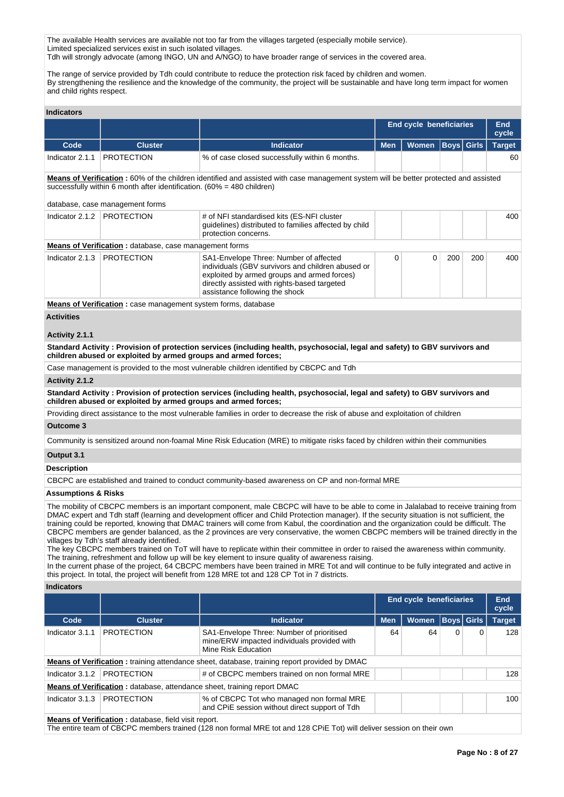The available Health services are available not too far from the villages targeted (especially mobile service). Limited specialized services exist in such isolated villages. Tdh will strongly advocate (among INGO, UN and A/NGO) to have broader range of services in the covered area.

The range of service provided by Tdh could contribute to reduce the protection risk faced by children and women. By strengthening the resilience and the knowledge of the community, the project will be sustainable and have long term impact for women and child rights respect.

#### **Indicators**

|                                                                                                                                                                                                                                                   |                                                               |                                                                                                                                                                                                                              | <b>End cycle beneficiaries</b> |              |     | End<br>cycle |               |
|---------------------------------------------------------------------------------------------------------------------------------------------------------------------------------------------------------------------------------------------------|---------------------------------------------------------------|------------------------------------------------------------------------------------------------------------------------------------------------------------------------------------------------------------------------------|--------------------------------|--------------|-----|--------------|---------------|
| Code                                                                                                                                                                                                                                              | <b>Cluster</b>                                                | <b>Indicator</b>                                                                                                                                                                                                             | <b>Men</b>                     | <b>Women</b> |     | Boys  Girls  | <b>Target</b> |
| Indicator 2.1.1                                                                                                                                                                                                                                   | <b>PROTECTION</b>                                             | % of case closed successfully within 6 months.                                                                                                                                                                               |                                |              |     |              | 60            |
| Means of Verification: 60% of the children identified and assisted with case management system will be better protected and assisted<br>successfully within 6 month after identification. (60% = 480 children)<br>database, case management forms |                                                               |                                                                                                                                                                                                                              |                                |              |     |              |               |
| Indicator $2.1.2$                                                                                                                                                                                                                                 | <b>PROTECTION</b>                                             | # of NFI standardised kits (ES-NFI cluster<br>quidelines) distributed to families affected by child<br>protection concerns.                                                                                                  |                                |              |     |              | 400           |
|                                                                                                                                                                                                                                                   | <b>Means of Verification:</b> database, case management forms |                                                                                                                                                                                                                              |                                |              |     |              |               |
| Indicator 2.1.3                                                                                                                                                                                                                                   | <b>PROTECTION</b>                                             | SA1-Envelope Three: Number of affected<br>individuals (GBV survivors and children abused or<br>exploited by armed groups and armed forces)<br>directly assisted with rights-based targeted<br>assistance following the shock | 0                              | 0            | 200 | 200          | 400           |

**Means of Verification :** case management system forms, database

## **Activities**

### **Activity 2.1.1**

**Standard Activity : Provision of protection services (including health, psychosocial, legal and safety) to GBV survivors and children abused or exploited by armed groups and armed forces;**

Case management is provided to the most vulnerable children identified by CBCPC and Tdh

#### **Activity 2.1.2**

**Standard Activity : Provision of protection services (including health, psychosocial, legal and safety) to GBV survivors and children abused or exploited by armed groups and armed forces;**

Providing direct assistance to the most vulnerable families in order to decrease the risk of abuse and exploitation of children

#### **Outcome 3**

Community is sensitized around non-foamal Mine Risk Education (MRE) to mitigate risks faced by children within their communities

#### **Output 3.1**

#### **Description**

CBCPC are established and trained to conduct community-based awareness on CP and non-formal MRE

#### **Assumptions & Risks**

The mobility of CBCPC members is an important component, male CBCPC will have to be able to come in Jalalabad to receive training from DMAC expert and Tdh staff (learning and development officer and Child Protection manager). If the security situation is not sufficient, the training could be reported, knowing that DMAC trainers will come from Kabul, the coordination and the organization could be difficult. The CBCPC members are gender balanced, as the 2 provinces are very conservative, the women CBCPC members will be trained directly in the villages by Tdh's staff already identified.

The key CBCPC members trained on ToT will have to replicate within their committee in order to raised the awareness within community. The training, refreshment and follow up will be key element to insure quality of awareness raising.

In the current phase of the project, 64 CBCPC members have been trained in MRE Tot and will continue to be fully integrated and active in this project. In total, the project will benefit from 128 MRE tot and 128 CP Tot in 7 districts.

#### **Indicators**

|                 |                                                                                |                                                                                                                 | <b>End cycle beneficiaries</b> |              |   |                   | End<br>cycle  |  |  |
|-----------------|--------------------------------------------------------------------------------|-----------------------------------------------------------------------------------------------------------------|--------------------------------|--------------|---|-------------------|---------------|--|--|
| Code            | <b>Cluster</b>                                                                 | <b>Indicator</b>                                                                                                | <b>Men</b>                     | <b>Women</b> |   | <b>Boys</b> Girls | <b>Target</b> |  |  |
| Indicator 3.1.1 | <b>PROTECTION</b>                                                              | SA1-Envelope Three: Number of prioritised<br>mine/ERW impacted individuals provided with<br>Mine Risk Education | 64                             | 64           | 0 | $\Omega$          | 128           |  |  |
|                 |                                                                                | <b>Means of Verification:</b> training attendance sheet, database, training report provided by DMAC             |                                |              |   |                   |               |  |  |
| Indicator 3.1.2 | <b>PROTECTION</b>                                                              | # of CBCPC members trained on non formal MRE                                                                    |                                |              |   |                   | 128           |  |  |
|                 | <b>Means of Verification:</b> database, attendance sheet, training report DMAC |                                                                                                                 |                                |              |   |                   |               |  |  |
| Indicator 3.1.3 | <b>PROTECTION</b>                                                              | % of CBCPC Tot who managed non formal MRE<br>and CPIE session without direct support of Tdh                     |                                |              |   |                   | 100           |  |  |
|                 | Moans of Vorification : database field visit report                            |                                                                                                                 |                                |              |   |                   |               |  |  |

**Means of Verification :** database, field visit report.

The entire team of CBCPC members trained (128 non formal MRE tot and 128 CPiE Tot) will deliver session on their own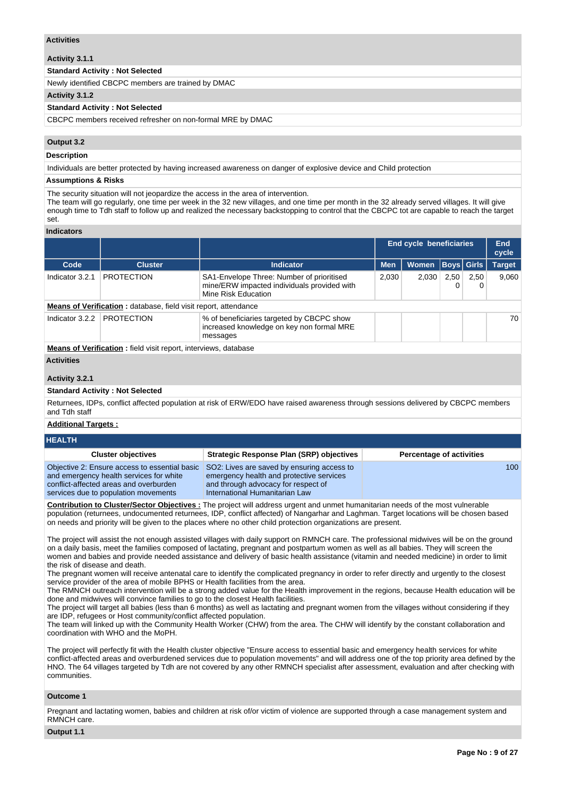#### **Activities**

**Activity 3.1.1** 

#### **Standard Activity : Not Selected**

Newly identified CBCPC members are trained by DMAC

#### **Activity 3.1.2**

#### **Standard Activity : Not Selected**

CBCPC members received refresher on non-formal MRE by DMAC

## **Output 3.2**

#### **Description**

Individuals are better protected by having increased awareness on danger of explosive device and Child protection

#### **Assumptions & Risks**

The security situation will not jeopardize the access in the area of intervention.

The team will go regularly, one time per week in the 32 new villages, and one time per month in the 32 already served villages. It will give enough time to Tdh staff to follow up and realized the necessary backstopping to control that the CBCPC tot are capable to reach the target set.

## **Indicators**

|                 |                                                                        |                                                                                                                 | <b>End cycle beneficiaries</b> |              |      | End<br>cycle |               |  |  |
|-----------------|------------------------------------------------------------------------|-----------------------------------------------------------------------------------------------------------------|--------------------------------|--------------|------|--------------|---------------|--|--|
| Code            | <b>Cluster</b>                                                         | Indicator                                                                                                       | <b>Men</b>                     | <b>Women</b> |      | Boys  Girls  | <b>Target</b> |  |  |
| Indicator 3.2.1 | <b>PROTECTION</b>                                                      | SA1-Envelope Three: Number of prioritised<br>mine/ERW impacted individuals provided with<br>Mine Risk Education | 2,030                          | 2,030        | 2,50 | 2,50         | 9.060         |  |  |
|                 | <b>Means of Verification:</b> database, field visit report, attendance |                                                                                                                 |                                |              |      |              |               |  |  |
| Indicator 3.2.2 | <b>PROTECTION</b>                                                      | % of beneficiaries targeted by CBCPC show<br>increased knowledge on key non formal MRE<br>messages              |                                |              |      |              | 70            |  |  |
|                 | <b>Means of Verification:</b> field visit report, interviews, database |                                                                                                                 |                                |              |      |              |               |  |  |

#### **Activities**

## **Activity 3.2.1**

#### **Standard Activity : Not Selected**

Returnees, IDPs, conflict affected population at risk of ERW/EDO have raised awareness through sessions delivered by CBCPC members and Tdh staff

#### **Additional Targets :**

#### **HEALTH Cluster objectives Strategic Response Plan (SRP) objectives Percentage of activities** Objective 2: Ensure access to essential basic and emergency health services for white conflict-affected areas and overburden services due to population movements SO2: Lives are saved by ensuring access to emergency health and protective services and through advocacy for respect of International Humanitarian Law 100

**Contribution to Cluster/Sector Objectives :** The project will address urgent and unmet humanitarian needs of the most vulnerable population (returnees, undocumented returnees, IDP, conflict affected) of Nangarhar and Laghman. Target locations will be chosen based on needs and priority will be given to the places where no other child protection organizations are present.

The project will assist the not enough assisted villages with daily support on RMNCH care. The professional midwives will be on the ground on a daily basis, meet the families composed of lactating, pregnant and postpartum women as well as all babies. They will screen the women and babies and provide needed assistance and delivery of basic health assistance (vitamin and needed medicine) in order to limit the risk of disease and death.

The pregnant women will receive antenatal care to identify the complicated pregnancy in order to refer directly and urgently to the closest service provider of the area of mobile BPHS or Health facilities from the area.

The RMNCH outreach intervention will be a strong added value for the Health improvement in the regions, because Health education will be done and midwives will convince families to go to the closest Health facilities.

The project will target all babies (less than 6 months) as well as lactating and pregnant women from the villages without considering if they are IDP, refugees or Host community/conflict affected population.

The team will linked up with the Community Health Worker (CHW) from the area. The CHW will identify by the constant collaboration and coordination with WHO and the MoPH.

The project will perfectly fit with the Health cluster objective "Ensure access to essential basic and emergency health services for white conflict-affected areas and overburdened services due to population movements" and will address one of the top priority area defined by the HNO. The 64 villages targeted by Tdh are not covered by any other RMNCH specialist after assessment, evaluation and after checking with communities.

#### **Outcome 1**

Pregnant and lactating women, babies and children at risk of/or victim of violence are supported through a case management system and RMNCH care.

#### **Output 1.1**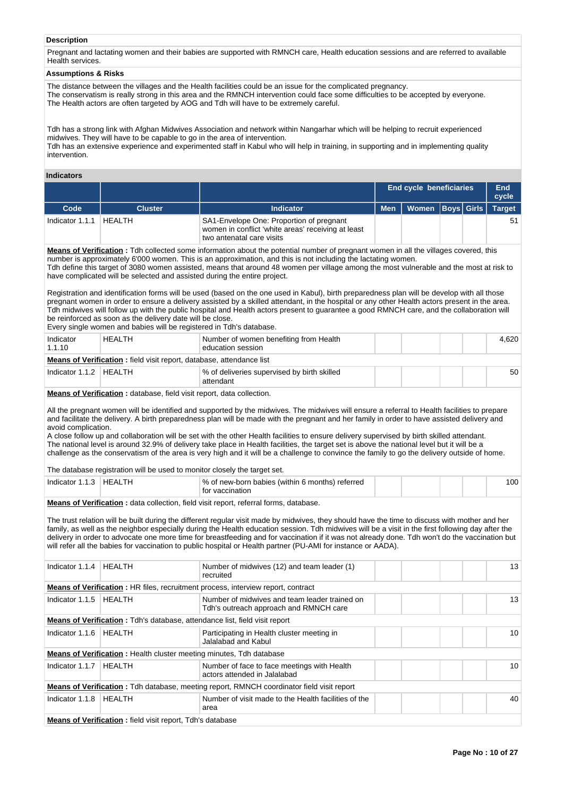### **Description**

Pregnant and lactating women and their babies are supported with RMNCH care, Health education sessions and are referred to available Health services.

#### **Assumptions & Risks**

The distance between the villages and the Health facilities could be an issue for the complicated pregnancy. The conservatism is really strong in this area and the RMNCH intervention could face some difficulties to be accepted by everyone. The Health actors are often targeted by AOG and Tdh will have to be extremely careful.

Tdh has a strong link with Afghan Midwives Association and network within Nangarhar which will be helping to recruit experienced midwives. They will have to be capable to go in the area of intervention. Tdh has an extensive experience and experimented staff in Kabul who will help in training, in supporting and in implementing quality intervention.

#### **Indicators**

|                                                                                                                                              |                |                                                                                                                             | <b>End cycle beneficiaries</b> |                      |  | End<br>cycle |               |  |
|----------------------------------------------------------------------------------------------------------------------------------------------|----------------|-----------------------------------------------------------------------------------------------------------------------------|--------------------------------|----------------------|--|--------------|---------------|--|
| Code                                                                                                                                         | <b>Cluster</b> | <b>Indicator</b>                                                                                                            | <b>Men</b>                     | Women   Boys   Girls |  |              | <b>Target</b> |  |
| Indicator 1.1.1                                                                                                                              | HFAI TH        | SA1-Envelope One: Proportion of pregnant<br>women in conflict 'white areas' receiving at least<br>two antenatal care visits |                                |                      |  |              | 51            |  |
| <b>Means of Verification</b> : Tdh collected some information about the potential number of pregnant women in all the villages covered, this |                |                                                                                                                             |                                |                      |  |              |               |  |

number is approximately 6'000 women. This is an approximation, and this is not including the lactating women. Tdh define this target of 3080 women assisted, means that around 48 women per village among the most vulnerable and the most at risk to have complicated will be selected and assisted during the entire project.

Registration and identification forms will be used (based on the one used in Kabul), birth preparedness plan will be develop with all those pregnant women in order to ensure a delivery assisted by a skilled attendant, in the hospital or any other Health actors present in the area. Tdh midwives will follow up with the public hospital and Health actors present to guarantee a good RMNCH care, and the collaboration will be reinforced as soon as the delivery date will be close.

Every single women and babies will be registered in Tdh's database.

| Indicator<br>1.1.10                                                         | HEALTH | Number of women benefiting from Health<br>education session |  |  |  |  | 4.620 |  |
|-----------------------------------------------------------------------------|--------|-------------------------------------------------------------|--|--|--|--|-------|--|
| <b>Means of Verification:</b> field visit report, database, attendance list |        |                                                             |  |  |  |  |       |  |
| Indicator 1.1.2   HEALTH                                                    |        | % of deliveries supervised by birth skilled<br>attendant    |  |  |  |  | 50    |  |

**Means of Verification :** database, field visit report, data collection.

All the pregnant women will be identified and supported by the midwives. The midwives will ensure a referral to Health facilities to prepare and facilitate the delivery. A birth preparedness plan will be made with the pregnant and her family in order to have assisted delivery and avoid complication.

A close follow up and collaboration will be set with the other Health facilities to ensure delivery supervised by birth skilled attendant. The national level is around 32.9% of delivery take place in Health facilities, the target set is above the national level but it will be a challenge as the conservatism of the area is very high and it will be a challenge to convince the family to go the delivery outside of home.

The database registration will be used to monitor closely the target set.

| Indicator | <b>HEALTH</b> | ∣% of new-born babies (within 6 months) referred |  | 00 |
|-----------|---------------|--------------------------------------------------|--|----|
|           |               | vaccination<br>tor                               |  |    |

**Means of Verification** : data collection, field visit report, referral forms, database.

The trust relation will be built during the different regular visit made by midwives, they should have the time to discuss with mother and her family, as well as the neighbor especially during the Health education session. Tdh midwives will be a visit in the first following day after the delivery in order to advocate one more time for breastfeeding and for vaccination if it was not already done. Tdh won't do the vaccination but will refer all the babies for vaccination to public hospital or Health partner (PU-AMI for instance or AADA).

| Indicator 1.1.4 | <b>HEALTH</b>                                                                     | Number of midwives (12) and team leader (1)<br>recruited                                          | 13 |
|-----------------|-----------------------------------------------------------------------------------|---------------------------------------------------------------------------------------------------|----|
|                 |                                                                                   | <b>Means of Verification:</b> HR files, recruitment process, interview report, contract           |    |
| Indicator 1.1.5 | <b>HEALTH</b>                                                                     | Number of midwives and team leader trained on<br>Tdh's outreach approach and RMNCH care           | 13 |
|                 | <b>Means of Verification:</b> Tdh's database, attendance list, field visit report |                                                                                                   |    |
| Indicator 1.1.6 | HEALTH                                                                            | Participating in Health cluster meeting in<br>Jalalabad and Kabul                                 | 10 |
|                 | <b>Means of Verification:</b> Health cluster meeting minutes, Tdh database        |                                                                                                   |    |
| Indicator 1.1.7 | <b>HEALTH</b>                                                                     | Number of face to face meetings with Health<br>actors attended in Jalalabad                       | 10 |
|                 |                                                                                   | <b>Means of Verification</b> : Tdh database, meeting report, RMNCH coordinator field visit report |    |
| Indicator 1.1.8 | HEALTH                                                                            | Number of visit made to the Health facilities of the<br>area                                      | 40 |
|                 | <b>Means of Verification:</b> field visit report, Tdh's database                  |                                                                                                   |    |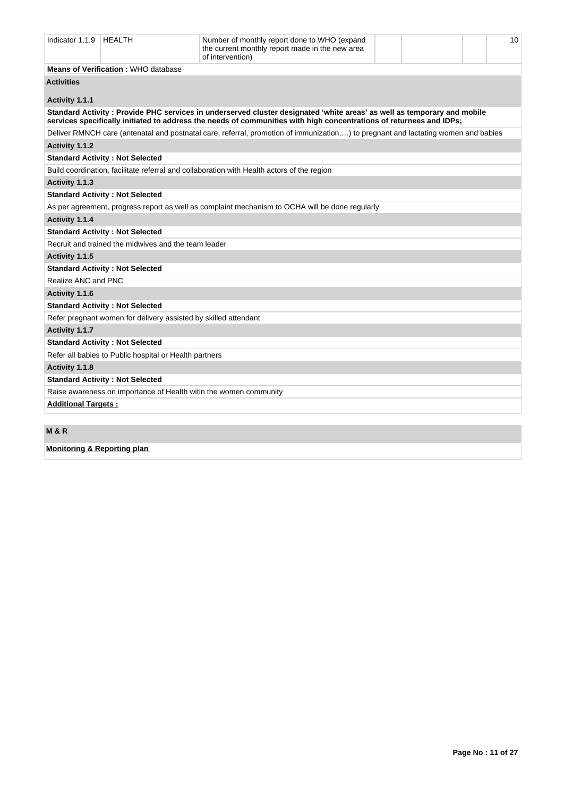| Indicator 1.1.9<br><b>HEALTH</b><br>Number of monthly report done to WHO (expand<br>the current monthly report made in the new area<br>of intervention) |                                                                   |                                                                                                                                                                                                                                                |  |  |  |  |  |  |
|---------------------------------------------------------------------------------------------------------------------------------------------------------|-------------------------------------------------------------------|------------------------------------------------------------------------------------------------------------------------------------------------------------------------------------------------------------------------------------------------|--|--|--|--|--|--|
|                                                                                                                                                         | <b>Means of Verification: WHO database</b>                        |                                                                                                                                                                                                                                                |  |  |  |  |  |  |
| <b>Activities</b>                                                                                                                                       |                                                                   |                                                                                                                                                                                                                                                |  |  |  |  |  |  |
| Activity 1.1.1                                                                                                                                          |                                                                   |                                                                                                                                                                                                                                                |  |  |  |  |  |  |
|                                                                                                                                                         |                                                                   | Standard Activity: Provide PHC services in underserved cluster designated 'white areas' as well as temporary and mobile<br>services specifically initiated to address the needs of communities with high concentrations of returnees and IDPs; |  |  |  |  |  |  |
|                                                                                                                                                         |                                                                   | Deliver RMNCH care (antenatal and postnatal care, referral, promotion of immunization,) to pregnant and lactating women and babies                                                                                                             |  |  |  |  |  |  |
| Activity 1.1.2                                                                                                                                          |                                                                   |                                                                                                                                                                                                                                                |  |  |  |  |  |  |
|                                                                                                                                                         | <b>Standard Activity: Not Selected</b>                            |                                                                                                                                                                                                                                                |  |  |  |  |  |  |
|                                                                                                                                                         |                                                                   | Build coordination, facilitate referral and collaboration with Health actors of the region                                                                                                                                                     |  |  |  |  |  |  |
| Activity 1.1.3                                                                                                                                          |                                                                   |                                                                                                                                                                                                                                                |  |  |  |  |  |  |
|                                                                                                                                                         | <b>Standard Activity: Not Selected</b>                            |                                                                                                                                                                                                                                                |  |  |  |  |  |  |
|                                                                                                                                                         |                                                                   | As per agreement, progress report as well as complaint mechanism to OCHA will be done regularly                                                                                                                                                |  |  |  |  |  |  |
| Activity 1.1.4                                                                                                                                          |                                                                   |                                                                                                                                                                                                                                                |  |  |  |  |  |  |
|                                                                                                                                                         | <b>Standard Activity: Not Selected</b>                            |                                                                                                                                                                                                                                                |  |  |  |  |  |  |
|                                                                                                                                                         | Recruit and trained the midwives and the team leader              |                                                                                                                                                                                                                                                |  |  |  |  |  |  |
| Activity 1.1.5                                                                                                                                          |                                                                   |                                                                                                                                                                                                                                                |  |  |  |  |  |  |
|                                                                                                                                                         | <b>Standard Activity: Not Selected</b>                            |                                                                                                                                                                                                                                                |  |  |  |  |  |  |
| Realize ANC and PNC                                                                                                                                     |                                                                   |                                                                                                                                                                                                                                                |  |  |  |  |  |  |
| Activity 1.1.6                                                                                                                                          |                                                                   |                                                                                                                                                                                                                                                |  |  |  |  |  |  |
|                                                                                                                                                         | <b>Standard Activity: Not Selected</b>                            |                                                                                                                                                                                                                                                |  |  |  |  |  |  |
|                                                                                                                                                         | Refer pregnant women for delivery assisted by skilled attendant   |                                                                                                                                                                                                                                                |  |  |  |  |  |  |
| Activity 1.1.7                                                                                                                                          |                                                                   |                                                                                                                                                                                                                                                |  |  |  |  |  |  |
|                                                                                                                                                         | <b>Standard Activity: Not Selected</b>                            |                                                                                                                                                                                                                                                |  |  |  |  |  |  |
|                                                                                                                                                         | Refer all babies to Public hospital or Health partners            |                                                                                                                                                                                                                                                |  |  |  |  |  |  |
| Activity 1.1.8                                                                                                                                          |                                                                   |                                                                                                                                                                                                                                                |  |  |  |  |  |  |
|                                                                                                                                                         | <b>Standard Activity: Not Selected</b>                            |                                                                                                                                                                                                                                                |  |  |  |  |  |  |
|                                                                                                                                                         | Raise awareness on importance of Health witin the women community |                                                                                                                                                                                                                                                |  |  |  |  |  |  |
| <b>Additional Targets:</b>                                                                                                                              |                                                                   |                                                                                                                                                                                                                                                |  |  |  |  |  |  |
|                                                                                                                                                         |                                                                   |                                                                                                                                                                                                                                                |  |  |  |  |  |  |
| .                                                                                                                                                       |                                                                   |                                                                                                                                                                                                                                                |  |  |  |  |  |  |

**M & R**

**Monitoring & Reporting plan**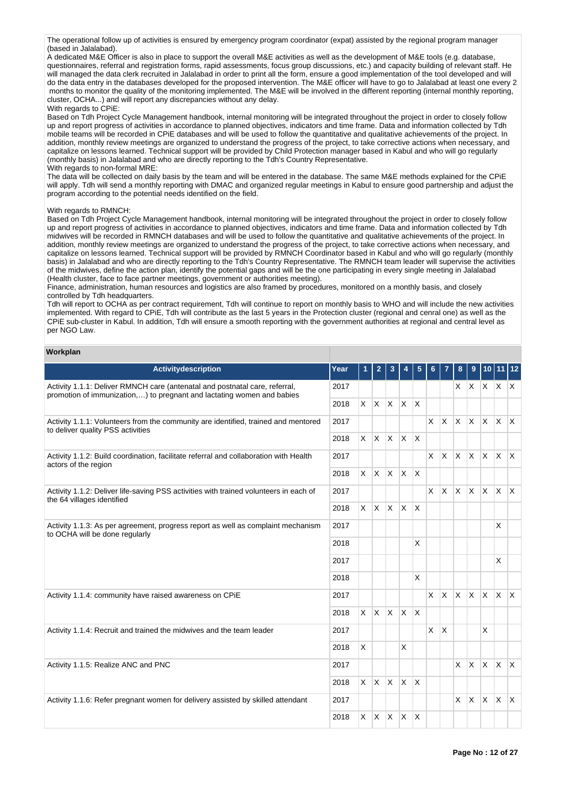The operational follow up of activities is ensured by emergency program coordinator (expat) assisted by the regional program manager (based in Jalalabad).

A dedicated M&E Officer is also in place to support the overall M&E activities as well as the development of M&E tools (e.g. database, questionnaires, referral and registration forms, rapid assessments, focus group discussions, etc.) and capacity building of relevant staff. He will managed the data clerk recruited in Jalalabad in order to print all the form, ensure a good implementation of the tool developed and will do the data entry in the databases developed for the proposed intervention. The M&E officer will have to go to Jalalabad at least one every 2 months to monitor the quality of the monitoring implemented. The M&E will be involved in the different reporting (internal monthly reporting, cluster, OCHA...) and will report any discrepancies without any delay. With regards to CPiE:

Based on Tdh Project Cycle Management handbook, internal monitoring will be integrated throughout the project in order to closely follow up and report progress of activities in accordance to planned objectives, indicators and time frame. Data and information collected by Tdh mobile teams will be recorded in CPiE databases and will be used to follow the quantitative and qualitative achievements of the project. In addition, monthly review meetings are organized to understand the progress of the project, to take corrective actions when necessary, and capitalize on lessons learned. Technical support will be provided by Child Protection manager based in Kabul and who will go regularly (monthly basis) in Jalalabad and who are directly reporting to the Tdh's Country Representative. With regards to non-formal MRE:

The data will be collected on daily basis by the team and will be entered in the database. The same M&E methods explained for the CPiE will apply. Tdh will send a monthly reporting with DMAC and organized regular meetings in Kabul to ensure good partnership and adjust the program according to the potential needs identified on the field.

#### With regards to RMNCH:

Based on Tdh Project Cycle Management handbook, internal monitoring will be integrated throughout the project in order to closely follow up and report progress of activities in accordance to planned objectives, indicators and time frame. Data and information collected by Tdh midwives will be recorded in RMNCH databases and will be used to follow the quantitative and qualitative achievements of the project. In addition, monthly review meetings are organized to understand the progress of the project, to take corrective actions when necessary, and capitalize on lessons learned. Technical support will be provided by RMNCH Coordinator based in Kabul and who will go regularly (monthly basis) in Jalalabad and who are directly reporting to the Tdh's Country Representative. The RMNCH team leader will supervise the activities of the midwives, define the action plan, identify the potential gaps and will be the one participating in every single meeting in Jalalabad (Health cluster, face to face partner meetings, government or authorities meeting).

Finance, administration, human resources and logistics are also framed by procedures, monitored on a monthly basis, and closely controlled by Tdh headquarters.

Tdh will report to OCHA as per contract requirement, Tdh will continue to report on monthly basis to WHO and will include the new activities implemented. With regard to CPiE, Tdh will contribute as the last 5 years in the Protection cluster (regional and cenral one) as well as the CPiE sub-cluster in Kabul. In addition, Tdh will ensure a smooth reporting with the government authorities at regional and central level as per NGO Law.

#### **Workplan**

| Activitydescription                                                                                                                                   | Year | 1              | $\mathbf{2}$             | 3 | 4                 | 5                       | 6        |          | 8                 | 9            |              | 10 11                   | $ 12\rangle$ |
|-------------------------------------------------------------------------------------------------------------------------------------------------------|------|----------------|--------------------------|---|-------------------|-------------------------|----------|----------|-------------------|--------------|--------------|-------------------------|--------------|
| Activity 1.1.1: Deliver RMNCH care (antenatal and postnatal care, referral,<br>promotion of immunization,) to pregnant and lactating women and babies | 2017 |                |                          |   |                   |                         |          |          | x <sub>1</sub>    | <b>X</b>     |              | $x \mid x \mid x$       |              |
|                                                                                                                                                       | 2018 | $\times$       | $X \times X$             |   |                   | ΙX                      |          |          |                   |              |              |                         |              |
| Activity 1.1.1: Volunteers from the community are identified, trained and mentored<br>to deliver quality PSS activities                               | 2017 |                |                          |   |                   |                         | $\times$ |          | $x \mid x \mid x$ |              |              | $x \mid x \mid x$       |              |
|                                                                                                                                                       | 2018 | $\times$       | $x \times x$             |   |                   | $\mathsf{X}$            |          |          |                   |              |              |                         |              |
| Activity 1.1.2: Build coordination, facilitate referral and collaboration with Health<br>actors of the region                                         | 2017 |                |                          |   |                   |                         |          |          | $X$ $X$ $X$ $X$   |              |              | $x \mid x \mid x$       |              |
|                                                                                                                                                       | 2018 |                | $x \mid x \mid x \mid x$ |   |                   | $\mathsf{X}$            |          |          |                   |              |              |                         |              |
| Activity 1.1.2: Deliver life-saving PSS activities with trained volunteers in each of<br>the 64 villages identified                                   | 2017 |                |                          |   |                   |                         | X        | ΙX.      | $x \times$        |              | ΙX.          | $\mathsf{X} \mathsf{X}$ |              |
|                                                                                                                                                       | 2018 |                |                          |   | $X$ $X$ $X$       | $\mathsf{I} \mathsf{X}$ |          |          |                   |              |              |                         |              |
| Activity 1.1.3: As per agreement, progress report as well as complaint mechanism                                                                      | 2017 |                |                          |   |                   |                         |          |          |                   |              |              | X                       |              |
| to OCHA will be done regularly                                                                                                                        |      |                |                          |   |                   | $\times$                |          |          |                   |              |              |                         |              |
|                                                                                                                                                       | 2017 |                |                          |   |                   |                         |          |          |                   |              |              | X                       |              |
|                                                                                                                                                       | 2018 |                |                          |   |                   | $\overline{\mathsf{x}}$ |          |          |                   |              |              |                         |              |
| Activity 1.1.4: community have raised awareness on CPIE                                                                                               | 2017 |                |                          |   |                   |                         | X        | <b>X</b> | lx.               | <b>X</b>     | X.           | $X$ $X$                 |              |
|                                                                                                                                                       | 2018 | $\mathsf{X}^-$ |                          |   | $ X $ $ X $ $ X $ |                         |          |          |                   |              |              |                         |              |
| Activity 1.1.4: Recruit and trained the midwives and the team leader                                                                                  | 2017 |                |                          |   |                   |                         | X        | X        |                   |              | X            |                         |              |
|                                                                                                                                                       | 2018 | X              |                          |   | X                 |                         |          |          |                   |              |              |                         |              |
| Activity 1.1.5: Realize ANC and PNC                                                                                                                   | 2017 |                |                          |   |                   |                         |          |          | $\times$          | $\mathsf{X}$ | X.           | $\mathsf{X}$            | $\mathsf{X}$ |
|                                                                                                                                                       | 2018 |                | $x \mid x \mid x \mid x$ |   |                   | <sup>X</sup>            |          |          |                   |              |              |                         |              |
| Activity 1.1.6: Refer pregnant women for delivery assisted by skilled attendant                                                                       | 2017 |                |                          |   |                   |                         |          |          | $\times$          | X            | $\mathsf{X}$ | $\mathsf{X}$            | $\mathsf{X}$ |
|                                                                                                                                                       | 2018 |                | $X$ $X$ $X$ $X$          |   |                   | ΙX.                     |          |          |                   |              |              |                         |              |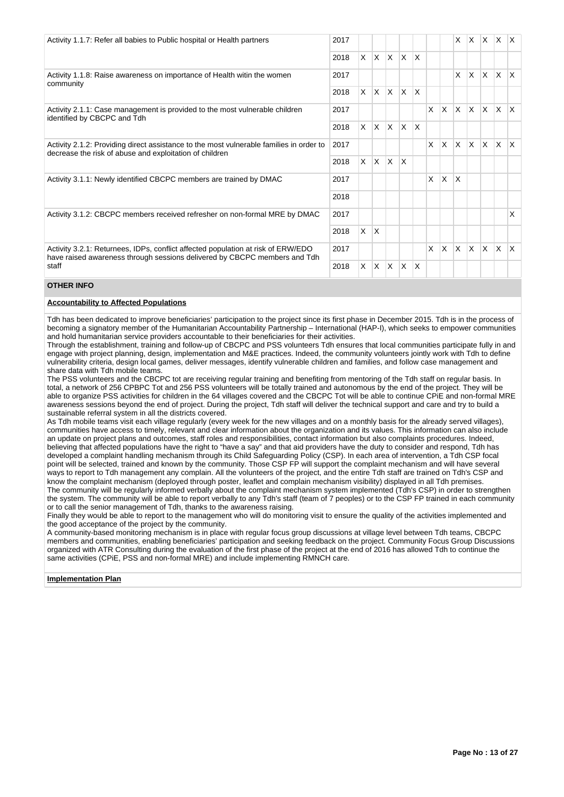| Activity 1.1.7: Refer all babies to Public hospital or Health partners                                                                                        | 2017 |    |              |              |                 |                         |   |     | X.                      | <b>X</b> | $\mathsf{X}$ | X X          |                          |
|---------------------------------------------------------------------------------------------------------------------------------------------------------------|------|----|--------------|--------------|-----------------|-------------------------|---|-----|-------------------------|----------|--------------|--------------|--------------------------|
|                                                                                                                                                               | 2018 |    | $X$ $X$      | $\mathsf{X}$ | $\mathsf{X}$    | $\mathsf{x}$            |   |     |                         |          |              |              |                          |
| Activity 1.1.8: Raise awareness on importance of Health witin the women<br>community                                                                          | 2017 |    |              |              |                 |                         |   |     | $\times$                | <b>X</b> | ΙX.          | ΙX.          | $\mathsf{X}$             |
|                                                                                                                                                               | 2018 |    | $X$ $X$      | $\mathsf{X}$ | $\mathsf{X}$    | $\overline{\mathsf{x}}$ |   |     |                         |          |              |              |                          |
| Activity 2.1.1: Case management is provided to the most vulnerable children<br>identified by CBCPC and Tdh                                                    | 2017 |    |              |              |                 |                         | X |     | $x \mid x \mid x$       |          | $\mathsf{X}$ | $\mathsf{X}$ | $\mathsf{I}\mathsf{X}^-$ |
|                                                                                                                                                               | 2018 | X. | $\mathsf{X}$ | ΙX.          | $\mathsf{X}$    | $\overline{\mathsf{x}}$ |   |     |                         |          |              |              |                          |
| Activity 2.1.2: Providing direct assistance to the most vulnerable families in order to<br>decrease the risk of abuse and exploitation of children            | 2017 |    |              |              |                 |                         | X | ΙX  | $\mathsf{X}$            | lx.      | Ιx.          | ΙX.          | $\mathsf{X}$             |
|                                                                                                                                                               | 2018 |    | $X$ $X$      | $\mathsf{X}$ | $\mathsf{\chi}$ |                         |   |     |                         |          |              |              |                          |
| Activity 3.1.1: Newly identified CBCPC members are trained by DMAC                                                                                            | 2017 |    |              |              |                 |                         | X | ΙX  | $\overline{\mathsf{x}}$ |          |              |              |                          |
|                                                                                                                                                               | 2018 |    |              |              |                 |                         |   |     |                         |          |              |              |                          |
| Activity 3.1.2: CBCPC members received refresher on non-formal MRE by DMAC                                                                                    | 2017 |    |              |              |                 |                         |   |     |                         |          |              |              | X                        |
|                                                                                                                                                               | 2018 | X. | $\mathsf{X}$ |              |                 |                         |   |     |                         |          |              |              |                          |
| Activity 3.2.1: Returnees, IDPs, conflict affected population at risk of ERW/EDO<br>have raised awareness through sessions delivered by CBCPC members and Tdh | 2017 |    |              |              |                 |                         | X | lx. | $x \times$              |          | $\mathsf{X}$ | $\mathsf{X}$ | <sup>X</sup>             |
| staff                                                                                                                                                         | 2018 | X. | $\mathsf{X}$ | ΙX.          | X               | X                       |   |     |                         |          |              |              |                          |

## **OTHER INFO**

#### **Accountability to Affected Populations**

Tdh has been dedicated to improve beneficiaries' participation to the project since its first phase in December 2015. Tdh is in the process of becoming a signatory member of the Humanitarian Accountability Partnership – International (HAP-I), which seeks to empower communities and hold humanitarian service providers accountable to their beneficiaries for their activities.

Through the establishment, training and follow-up of CBCPC and PSS volunteers Tdh ensures that local communities participate fully in and engage with project planning, design, implementation and M&E practices. Indeed, the community volunteers jointly work with Tdh to define vulnerability criteria, design local games, deliver messages, identify vulnerable children and families, and follow case management and share data with Tdh mobile teams.

The PSS volunteers and the CBCPC tot are receiving regular training and benefiting from mentoring of the Tdh staff on regular basis. In total, a network of 256 CPBPC Tot and 256 PSS volunteers will be totally trained and autonomous by the end of the project. They will be able to organize PSS activities for children in the 64 villages covered and the CBCPC Tot will be able to continue CPiE and non-formal MRE awareness sessions beyond the end of project. During the project, Tdh staff will deliver the technical support and care and try to build a sustainable referral system in all the districts covered.

As Tdh mobile teams visit each village regularly (every week for the new villages and on a monthly basis for the already served villages), communities have access to timely, relevant and clear information about the organization and its values. This information can also include an update on project plans and outcomes, staff roles and responsibilities, contact information but also complaints procedures. Indeed, believing that affected populations have the right to "have a say" and that aid providers have the duty to consider and respond, Tdh has developed a complaint handling mechanism through its Child Safeguarding Policy (CSP). In each area of intervention, a Tdh CSP focal point will be selected, trained and known by the community. Those CSP FP will support the complaint mechanism and will have several ways to report to Tdh management any complain. All the volunteers of the project, and the entire Tdh staff are trained on Tdh's CSP and know the complaint mechanism (deployed through poster, leaflet and complain mechanism visibility) displayed in all Tdh premises. The community will be regularly informed verbally about the complaint mechanism system implemented (Tdh's CSP) in order to strengthen the system. The community will be able to report verbally to any Tdh's staff (team of 7 peoples) or to the CSP FP trained in each community or to call the senior management of Tdh, thanks to the awareness raising.

Finally they would be able to report to the management who will do monitoring visit to ensure the quality of the activities implemented and the good acceptance of the project by the community.

A community-based monitoring mechanism is in place with regular focus group discussions at village level between Tdh teams, CBCPC members and communities, enabling beneficiaries' participation and seeking feedback on the project. Community Focus Group Discussions organized with ATR Consulting during the evaluation of the first phase of the project at the end of 2016 has allowed Tdh to continue the same activities (CPiE, PSS and non-formal MRE) and include implementing RMNCH care.

#### **Implementation Plan**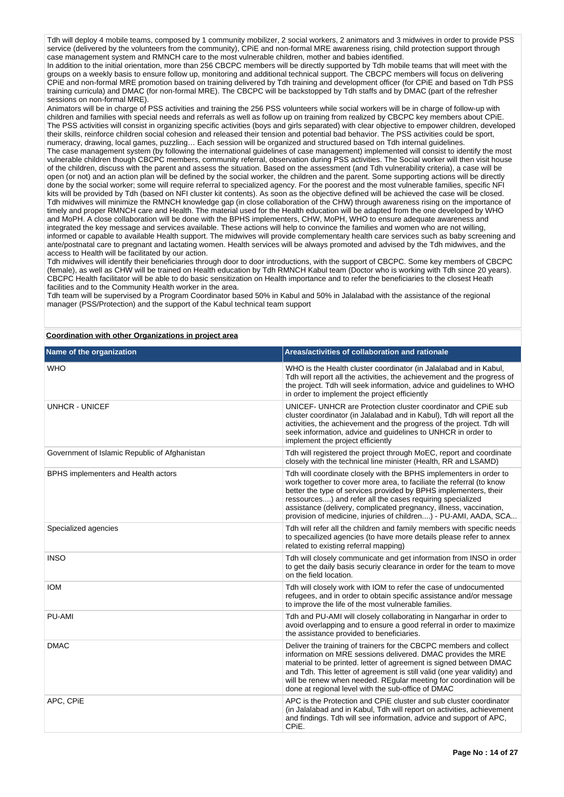Tdh will deploy 4 mobile teams, composed by 1 community mobilizer, 2 social workers, 2 animators and 3 midwives in order to provide PSS service (delivered by the volunteers from the community). CPIE and non-formal MRE awareness rising, child protection support through case management system and RMNCH care to the most vulnerable children, mother and babies identified.

In addition to the initial orientation, more than 256 CBCPC members will be directly supported by Tdh mobile teams that will meet with the groups on a weekly basis to ensure follow up, monitoring and additional technical support. The CBCPC members will focus on delivering CPiE and non-formal MRE promotion based on training delivered by Tdh training and development officer (for CPiE and based on Tdh PSS training curricula) and DMAC (for non-formal MRE). The CBCPC will be backstopped by Tdh staffs and by DMAC (part of the refresher sessions on non-formal MRE).

Animators will be in charge of PSS activities and training the 256 PSS volunteers while social workers will be in charge of follow-up with children and families with special needs and referrals as well as follow up on training from realized by CBCPC key members about CPiE. The PSS activities will consist in organizing specific activities (boys and girls separated) with clear objective to empower children, developed their skills, reinforce children social cohesion and released their tension and potential bad behavior. The PSS activities could be sport, numeracy, drawing, local games, puzzling... Each session will be organized and structured based on Tdh internal guidelines The case management system (by following the international guidelines of case management) implemented will consist to identify the most vulnerable children though CBCPC members, community referral, observation during PSS activities. The Social worker will then visit house

of the children, discuss with the parent and assess the situation. Based on the assessment (and Tdh vulnerability criteria), a case will be open (or not) and an action plan will be defined by the social worker, the children and the parent. Some supporting actions will be directly done by the social worker; some will require referral to specialized agency. For the poorest and the most vulnerable families, specific NFI kits will be provided by Tdh (based on NFI cluster kit contents). As soon as the objective defined will be achieved the case will be closed. Tdh midwives will minimize the RMNCH knowledge gap (in close collaboration of the CHW) through awareness rising on the importance of timely and proper RMNCH care and Health. The material used for the Health education will be adapted from the one developed by WHO and MoPH. A close collaboration will be done with the BPHS implementers, CHW, MoPH, WHO to ensure adequate awareness and integrated the key message and services available. These actions will help to convince the families and women who are not willing, informed or capable to available Health support. The midwives will provide complementary health care services such as baby screening and ante/postnatal care to pregnant and lactating women. Health services will be always promoted and advised by the Tdh midwives, and the access to Health will be facilitated by our action.

Tdh midwives will identify their beneficiaries through door to door introductions, with the support of CBCPC. Some key members of CBCPC (female), as well as CHW will be trained on Health education by Tdh RMNCH Kabul team (Doctor who is working with Tdh since 20 years). CBCPC Health facilitator will be able to do basic sensitization on Health importance and to refer the beneficiaries to the closest Heath facilities and to the Community Health worker in the area.

Tdh team will be supervised by a Program Coordinator based 50% in Kabul and 50% in Jalalabad with the assistance of the regional manager (PSS/Protection) and the support of the Kabul technical team support

## **Coordination with other Organizations in project area**

| Name of the organization                      | Areas/activities of collaboration and rationale                                                                                                                                                                                                                                                                                                                                                                       |
|-----------------------------------------------|-----------------------------------------------------------------------------------------------------------------------------------------------------------------------------------------------------------------------------------------------------------------------------------------------------------------------------------------------------------------------------------------------------------------------|
| <b>WHO</b>                                    | WHO is the Health cluster coordinator (in Jalalabad and in Kabul,<br>Tdh will report all the activities, the achievement and the progress of<br>the project. Tdh will seek information, advice and guidelines to WHO<br>in order to implement the project efficiently                                                                                                                                                 |
| <b>UNHCR - UNICEF</b>                         | UNICEF- UNHCR are Protection cluster coordinator and CPIE sub<br>cluster coordinator (in Jalalabad and in Kabul), Tdh will report all the<br>activities, the achievement and the progress of the project. Tdh will<br>seek information, advice and guidelines to UNHCR in order to<br>implement the project efficiently                                                                                               |
| Government of Islamic Republic of Afghanistan | Tdh will registered the project through MoEC, report and coordinate<br>closely with the technical line minister (Health, RR and LSAMD)                                                                                                                                                                                                                                                                                |
| BPHS implementers and Health actors           | Tdh will coordinate closely with the BPHS implementers in order to<br>work together to cover more area, to faciliate the referral (to know<br>better the type of services provided by BPHS implementers, their<br>ressources) and refer all the cases requiring specialized<br>assistance (delivery, complicated pregnancy, illness, vaccination,<br>provision of medicine, injuries of children) - PU-AMI, AADA, SCA |
| Specialized agencies                          | Tdh will refer all the children and family members with specific needs<br>to specallized agencies (to have more details please refer to annex<br>related to existing referral mapping)                                                                                                                                                                                                                                |
| <b>INSO</b>                                   | Tdh will closely communicate and get information from INSO in order<br>to get the daily basis securiy clearance in order for the team to move<br>on the field location.                                                                                                                                                                                                                                               |
| <b>IOM</b>                                    | Tdh will closely work with IOM to refer the case of undocumented<br>refugees, and in order to obtain specific assistance and/or message<br>to improve the life of the most vulnerable families.                                                                                                                                                                                                                       |
| <b>PU-AMI</b>                                 | Tdh and PU-AMI will closely collaborating in Nangarhar in order to<br>avoid overlapping and to ensure a good referral in order to maximize<br>the assistance provided to beneficiaries.                                                                                                                                                                                                                               |
| <b>DMAC</b>                                   | Deliver the training of trainers for the CBCPC members and collect<br>information on MRE sessions delivered. DMAC provides the MRE<br>material to be printed. letter of agreement is signed between DMAC<br>and Tdh. This letter of agreement is still valid (one year validity) and<br>will be renew when needed. REgular meeting for coordination will be<br>done at regional level with the sub-office of DMAC     |
| APC, CPIE                                     | APC is the Protection and CPIE cluster and sub cluster coordinator<br>(in Jalalabad and in Kabul, Tdh will report on activities, achievement<br>and findings. Tdh will see information, advice and support of APC,<br>CPiE.                                                                                                                                                                                           |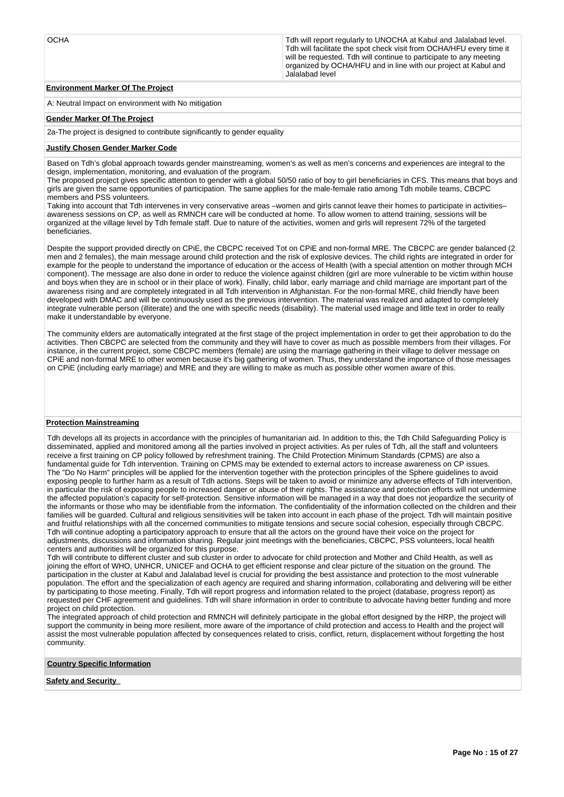OCHA Tdh will report regularly to UNOCHA at Kabul and Jalalabad level. Tdh will facilitate the spot check visit from OCHA/HFU every time it will be requested. Tdh will continue to participate to any meeting organized by OCHA/HFU and in line with our project at Kabul and Jalalabad level

## **Environment Marker Of The Project**

A: Neutral Impact on environment with No mitigation

#### **Gender Marker Of The Project**

2a-The project is designed to contribute significantly to gender equality

#### **Justify Chosen Gender Marker Code**

Based on Tdh's global approach towards gender mainstreaming, women's as well as men's concerns and experiences are integral to the design, implementation, monitoring, and evaluation of the program.

The proposed project gives specific attention to gender with a global 50/50 ratio of boy to girl beneficiaries in CFS. This means that boys and girls are given the same opportunities of participation. The same applies for the male-female ratio among Tdh mobile teams, CBCPC members and PSS volunteers.

Taking into account that Tdh intervenes in very conservative areas –women and girls cannot leave their homes to participate in activities– awareness sessions on CP, as well as RMNCH care will be conducted at home. To allow women to attend training, sessions will be organized at the village level by Tdh female staff. Due to nature of the activities, women and girls will represent 72% of the targeted beneficiaries.

Despite the support provided directly on CPiE, the CBCPC received Tot on CPiE and non-formal MRE. The CBCPC are gender balanced (2 men and 2 females), the main message around child protection and the risk of explosive devices. The child rights are integrated in order for example for the people to understand the importance of education or the access of Health (with a special attention on mother through MCH component). The message are also done in order to reduce the violence against children (girl are more vulnerable to be victim within house and boys when they are in school or in their place of work). Finally, child labor, early marriage and child marriage are important part of the awareness rising and are completely integrated in all Tdh intervention in Afghanistan. For the non-formal MRE, child friendly have been developed with DMAC and will be continuously used as the previous intervention. The material was realized and adapted to completely integrate vulnerable person (illiterate) and the one with specific needs (disability). The material used image and little text in order to really make it understandable by everyone.

The community elders are automatically integrated at the first stage of the project implementation in order to get their approbation to do the activities. Then CBCPC are selected from the community and they will have to cover as much as possible members from their villages. For instance, in the current project, some CBCPC members (female) are using the marriage gathering in their village to deliver message on CPiE and non-formal MRE to other women because it's big gathering of women. Thus, they understand the importance of those messages on CPiE (including early marriage) and MRE and they are willing to make as much as possible other women aware of this.

### **Protection Mainstreaming**

Tdh develops all its projects in accordance with the principles of humanitarian aid. In addition to this, the Tdh Child Safeguarding Policy is disseminated, applied and monitored among all the parties involved in project activities. As per rules of Tdh, all the staff and volunteers receive a first training on CP policy followed by refreshment training. The Child Protection Minimum Standards (CPMS) are also a fundamental guide for Tdh intervention. Training on CPMS may be extended to external actors to increase awareness on CP issues. The "Do No Harm" principles will be applied for the intervention together with the protection principles of the Sphere guidelines to avoid exposing people to further harm as a result of Tdh actions. Steps will be taken to avoid or minimize any adverse effects of Tdh intervention, in particular the risk of exposing people to increased danger or abuse of their rights. The assistance and protection efforts will not undermine the affected population's capacity for self-protection. Sensitive information will be managed in a way that does not jeopardize the security of the informants or those who may be identifiable from the information. The confidentiality of the information collected on the children and their families will be guarded. Cultural and religious sensitivities will be taken into account in each phase of the project. Tdh will maintain positive and fruitful relationships with all the concerned communities to mitigate tensions and secure social cohesion, especially through CBCPC. Tdh will continue adopting a participatory approach to ensure that all the actors on the ground have their voice on the project for adjustments, discussions and information sharing. Regular joint meetings with the beneficiaries, CBCPC, PSS volunteers, local health centers and authorities will be organized for this purpose.

Tdh will contribute to different cluster and sub cluster in order to advocate for child protection and Mother and Child Health, as well as joining the effort of WHO, UNHCR, UNICEF and OCHA to get efficient response and clear picture of the situation on the ground. The participation in the cluster at Kabul and Jalalabad level is crucial for providing the best assistance and protection to the most vulnerable population. The effort and the specialization of each agency are required and sharing information, collaborating and delivering will be either by participating to those meeting. Finally, Tdh will report progress and information related to the project (database, progress report) as requested per CHF agreement and guidelines. Tdh will share information in order to contribute to advocate having better funding and more project on child protection.

The integrated approach of child protection and RMNCH will definitely participate in the global effort designed by the HRP, the project will support the community in being more resilient, more aware of the importance of child protection and access to Health and the project will assist the most vulnerable population affected by consequences related to crisis, conflict, return, displacement without forgetting the host community.

**Country Specific Information**

**Safety and Security**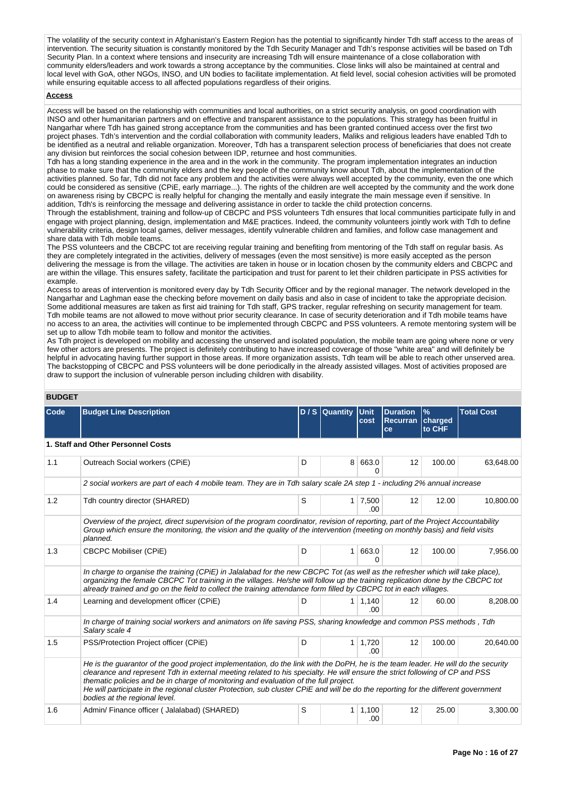The volatility of the security context in Afghanistan's Eastern Region has the potential to significantly hinder Tdh staff access to the areas of intervention. The security situation is constantly monitored by the Tdh Security Manager and Tdh's response activities will be based on Tdh Security Plan. In a context where tensions and insecurity are increasing Tdh will ensure maintenance of a close collaboration with community elders/leaders and work towards a strong acceptance by the communities. Close links will also be maintained at central and local level with GoA, other NGOs, INSO, and UN bodies to facilitate implementation. At field level, social cohesion activities will be promoted while ensuring equitable access to all affected populations regardless of their origins.

#### **Access**

Access will be based on the relationship with communities and local authorities, on a strict security analysis, on good coordination with INSO and other humanitarian partners and on effective and transparent assistance to the populations. This strategy has been fruitful in Nangarhar where Tdh has gained strong acceptance from the communities and has been granted continued access over the first two project phases. Tdh's intervention and the cordial collaboration with community leaders, Maliks and religious leaders have enabled Tdh to be identified as a neutral and reliable organization. Moreover, Tdh has a transparent selection process of beneficiaries that does not create any division but reinforces the social cohesion between IDP, returnee and host communities.

Tdh has a long standing experience in the area and in the work in the community. The program implementation integrates an induction phase to make sure that the community elders and the key people of the community know about Tdh, about the implementation of the activities planned. So far, Tdh did not face any problem and the activities were always well accepted by the community, even the one which could be considered as sensitive (CPiE, early marriage...). The rights of the children are well accepted by the community and the work done on awareness rising by CBCPC is really helpful for changing the mentally and easily integrate the main message even if sensitive. In addition, Tdh's is reinforcing the message and delivering assistance in order to tackle the child protection concerns.

Through the establishment, training and follow-up of CBCPC and PSS volunteers Tdh ensures that local communities participate fully in and engage with project planning, design, implementation and M&E practices. Indeed, the community volunteers jointly work with Tdh to define vulnerability criteria, design local games, deliver messages, identify vulnerable children and families, and follow case management and share data with Tdh mobile teams.

The PSS volunteers and the CBCPC tot are receiving regular training and benefiting from mentoring of the Tdh staff on regular basis. As they are completely integrated in the activities, delivery of messages (even the most sensitive) is more easily accepted as the person delivering the message is from the village. The activities are taken in house or in location chosen by the community elders and CBCPC and are within the village. This ensures safety, facilitate the participation and trust for parent to let their children participate in PSS activities for example.

Access to areas of intervention is monitored every day by Tdh Security Officer and by the regional manager. The network developed in the Nangarhar and Laghman ease the checking before movement on daily basis and also in case of incident to take the appropriate decision. Some additional measures are taken as first aid training for Tdh staff, GPS tracker, regular refreshing on security management for team. Tdh mobile teams are not allowed to move without prior security clearance. In case of security deterioration and if Tdh mobile teams have no access to an area, the activities will continue to be implemented through CBCPC and PSS volunteers. A remote mentoring system will be set up to allow Tdh mobile team to follow and monitor the activities.

As Tdh project is developed on mobility and accessing the unserved and isolated population, the mobile team are going where none or very few other actors are presents. The project is definitely contributing to have increased coverage of those "white area" and will definitely be helpful in advocating having further support in those areas. If more organization assists, Tdh team will be able to reach other unserved area. The backstopping of CBCPC and PSS volunteers will be done periodically in the already assisted villages. Most of activities proposed are draw to support the inclusion of vulnerable person including children with disability.

## **BUDGET**

| ובטשט |                                                                                                                                                                                                                                                                                                                                                                                                                                                                                                                                 |   |                |                     |                                          |                           |                   |
|-------|---------------------------------------------------------------------------------------------------------------------------------------------------------------------------------------------------------------------------------------------------------------------------------------------------------------------------------------------------------------------------------------------------------------------------------------------------------------------------------------------------------------------------------|---|----------------|---------------------|------------------------------------------|---------------------------|-------------------|
| Code  | <b>Budget Line Description</b>                                                                                                                                                                                                                                                                                                                                                                                                                                                                                                  |   | D / S Quantity | <b>Unit</b><br>cost | <b>Duration</b><br><b>Recurran</b><br>ce | $\%$<br>charged<br>to CHF | <b>Total Cost</b> |
|       | 1. Staff and Other Personnel Costs                                                                                                                                                                                                                                                                                                                                                                                                                                                                                              |   |                |                     |                                          |                           |                   |
| 1.1   | Outreach Social workers (CPiE)                                                                                                                                                                                                                                                                                                                                                                                                                                                                                                  | D | 8              | 663.0<br>0          | 12                                       | 100.00                    | 63,648.00         |
|       | 2 social workers are part of each 4 mobile team. They are in Tdh salary scale 2A step 1 - including 2% annual increase                                                                                                                                                                                                                                                                                                                                                                                                          |   |                |                     |                                          |                           |                   |
| 1.2   | Tdh country director (SHARED)                                                                                                                                                                                                                                                                                                                                                                                                                                                                                                   | S | 1 <sup>1</sup> | 7,500<br>.00.       | 12                                       | 12.00                     | 10,800.00         |
|       | Overview of the project, direct supervision of the program coordinator, revision of reporting, part of the Project Accountability<br>Group which ensure the monitoring, the vision and the quality of the intervention (meeting on monthly basis) and field visits<br>planned.                                                                                                                                                                                                                                                  |   |                |                     |                                          |                           |                   |
| 1.3   | <b>CBCPC Mobiliser (CPIE)</b>                                                                                                                                                                                                                                                                                                                                                                                                                                                                                                   | D | 1              | 663.0<br>o          | 12                                       | 100.00                    | 7,956.00          |
|       | In charge to organise the training (CPiE) in Jalalabad for the new CBCPC Tot (as well as the refresher which will take place).<br>organizing the female CBCPC Tot training in the villages. He/she will follow up the training replication done by the CBCPC tot<br>already trained and go on the field to collect the training attendance form filled by CBCPC tot in each villages.                                                                                                                                           |   |                |                     |                                          |                           |                   |
| 1.4   | Learning and development officer (CPiE)                                                                                                                                                                                                                                                                                                                                                                                                                                                                                         | D | $\mathbf{1}$   | 1,140<br>.00        | 12                                       | 60.00                     | 8,208.00          |
|       | In charge of training social workers and animators on life saving PSS, sharing knowledge and common PSS methods, Tdh<br>Salary scale 4                                                                                                                                                                                                                                                                                                                                                                                          |   |                |                     |                                          |                           |                   |
| 1.5   | PSS/Protection Project officer (CPiE)                                                                                                                                                                                                                                                                                                                                                                                                                                                                                           | D | $\mathbf{1}$   | 1,720<br>.00.       | 12                                       | 100.00                    | 20,640.00         |
|       | He is the guarantor of the good project implementation, do the link with the DoPH, he is the team leader. He will do the security<br>clearance and represent Tdh in external meeting related to his specialty. He will ensure the strict following of CP and PSS<br>thematic policies and be in charge of monitoring and evaluation of the full project.<br>He will participate in the regional cluster Protection, sub cluster CPiE and will be do the reporting for the different government<br>bodies at the regional level. |   |                |                     |                                          |                           |                   |
| 1.6   | Admin/ Finance officer (Jalalabad) (SHARED)                                                                                                                                                                                                                                                                                                                                                                                                                                                                                     | S | 1              | 1,100<br>.00        | 12                                       | 25.00                     | 3,300.00          |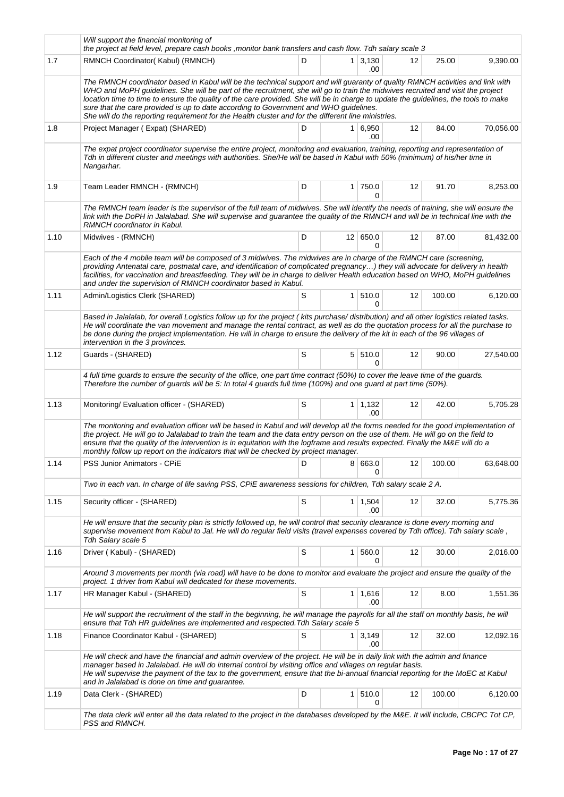|      | Will support the financial monitoring of<br>the project at field level, prepare cash books , monitor bank transfers and cash flow. Tdh salary scale 3                                                                                                                                                                                                                                                                                                                                                                                                                                                    |   |                |                       |    |        |           |
|------|----------------------------------------------------------------------------------------------------------------------------------------------------------------------------------------------------------------------------------------------------------------------------------------------------------------------------------------------------------------------------------------------------------------------------------------------------------------------------------------------------------------------------------------------------------------------------------------------------------|---|----------------|-----------------------|----|--------|-----------|
| 1.7  | RMNCH Coordinator(Kabul) (RMNCH)                                                                                                                                                                                                                                                                                                                                                                                                                                                                                                                                                                         | D |                | $1 \mid 3,130$<br>.00 | 12 | 25.00  | 9,390.00  |
|      | The RMNCH coordinator based in Kabul will be the technical support and will guaranty of quality RMNCH activities and link with<br>WHO and MoPH guidelines. She will be part of the recruitment, she will go to train the midwives recruited and visit the project<br>location time to time to ensure the quality of the care provided. She will be in charge to update the guidelines, the tools to make<br>sure that the care provided is up to date according to Government and WHO guidelines.<br>She will do the reporting requirement for the Health cluster and for the different line ministries. |   |                |                       |    |        |           |
| 1.8  | Project Manager (Expat) (SHARED)                                                                                                                                                                                                                                                                                                                                                                                                                                                                                                                                                                         | D | 1 <sup>1</sup> | 6,950<br>.00.         | 12 | 84.00  | 70,056.00 |
|      | The expat project coordinator supervise the entire project, monitoring and evaluation, training, reporting and representation of<br>Tdh in different cluster and meetings with authorities. She/He will be based in Kabul with 50% (minimum) of his/her time in<br>Nangarhar.                                                                                                                                                                                                                                                                                                                            |   |                |                       |    |        |           |
| 1.9  | Team Leader RMNCH - (RMNCH)                                                                                                                                                                                                                                                                                                                                                                                                                                                                                                                                                                              | D |                | 1 750.0<br>0          | 12 | 91.70  | 8,253.00  |
|      | The RMNCH team leader is the supervisor of the full team of midwives. She will identify the needs of training, she will ensure the<br>link with the DoPH in Jalalabad. She will supervise and guarantee the quality of the RMNCH and will be in technical line with the<br>RMNCH coordinator in Kabul.                                                                                                                                                                                                                                                                                                   |   |                |                       |    |        |           |
| 1.10 | Midwives - (RMNCH)                                                                                                                                                                                                                                                                                                                                                                                                                                                                                                                                                                                       | D |                | 12 650.0<br>0         | 12 | 87.00  | 81,432.00 |
|      | Each of the 4 mobile team will be composed of 3 midwives. The midwives are in charge of the RMNCH care (screening,<br>providing Antenatal care, postnatal care, and identification of complicated pregnancy) they will advocate for delivery in health<br>facilities, for vaccination and breastfeeding. They will be in charge to deliver Health education based on WHO, MoPH guidelines<br>and under the supervision of RMNCH coordinator based in Kabul.                                                                                                                                              |   |                |                       |    |        |           |
| 1.11 | Admin/Logistics Clerk (SHARED)                                                                                                                                                                                                                                                                                                                                                                                                                                                                                                                                                                           | S | 1 <sup>1</sup> | 510.0<br>$\Omega$     | 12 | 100.00 | 6,120.00  |
|      | Based in Jalalalab, for overall Logistics follow up for the project (kits purchase/distribution) and all other logistics related tasks.<br>He will coordinate the van movement and manage the rental contract, as well as do the quotation process for all the purchase to<br>be done during the project implementation. He will in charge to ensure the delivery of the kit in each of the 96 villages of<br>intervention in the 3 provinces.                                                                                                                                                           |   |                |                       |    |        |           |
| 1.12 | Guards - (SHARED)                                                                                                                                                                                                                                                                                                                                                                                                                                                                                                                                                                                        | S |                | 5 510.0<br>0          | 12 | 90.00  | 27,540.00 |
|      | 4 full time guards to ensure the security of the office, one part time contract (50%) to cover the leave time of the guards.<br>Therefore the number of guards will be 5: In total 4 guards full time (100%) and one guard at part time (50%).                                                                                                                                                                                                                                                                                                                                                           |   |                |                       |    |        |           |
| 1.13 | Monitoring/ Evaluation officer - (SHARED)                                                                                                                                                                                                                                                                                                                                                                                                                                                                                                                                                                | S |                | $1 \mid 1,132$<br>.00 | 12 | 42.00  | 5,705.28  |
|      | The monitoring and evaluation officer will be based in Kabul and will develop all the forms needed for the good implementation of<br>the project. He will go to Jalalabad to train the team and the data entry person on the use of them. He will go on the field to<br>ensure that the quality of the intervention is in equitation with the logframe and results expected. Finally the M&E will do a<br>monthly follow up report on the indicators that will be checked by project manager.                                                                                                            |   |                |                       |    |        |           |
| 1.14 | <b>PSS Junior Animators - CPIE</b>                                                                                                                                                                                                                                                                                                                                                                                                                                                                                                                                                                       | D |                | 8 663.0<br>0          | 12 | 100.00 | 63,648.00 |
|      | Two in each van. In charge of life saving PSS, CPiE awareness sessions for children, Tdh salary scale 2 A.                                                                                                                                                                                                                                                                                                                                                                                                                                                                                               |   |                |                       |    |        |           |
| 1.15 | Security officer - (SHARED)                                                                                                                                                                                                                                                                                                                                                                                                                                                                                                                                                                              | S |                | $1 \mid 1,504$<br>.00 | 12 | 32.00  | 5,775.36  |
|      | He will ensure that the security plan is strictly followed up, he will control that security clearance is done every morning and<br>supervise movement from Kabul to Jal. He will do regular field visits (travel expenses covered by Tdh office). Tdh salary scale,<br>Tdh Salary scale 5                                                                                                                                                                                                                                                                                                               |   |                |                       |    |        |           |
| 1.16 | Driver (Kabul) - (SHARED)                                                                                                                                                                                                                                                                                                                                                                                                                                                                                                                                                                                | S | 1 <sup>1</sup> | 560.0<br>0            | 12 | 30.00  | 2,016.00  |
|      | Around 3 movements per month (via road) will have to be done to monitor and evaluate the project and ensure the quality of the<br>project. 1 driver from Kabul will dedicated for these movements.                                                                                                                                                                                                                                                                                                                                                                                                       |   |                |                       |    |        |           |
| 1.17 | HR Manager Kabul - (SHARED)                                                                                                                                                                                                                                                                                                                                                                                                                                                                                                                                                                              | S | 1              | 1,616<br>.00          | 12 | 8.00   | 1,551.36  |
|      | He will support the recruitment of the staff in the beginning, he will manage the payrolls for all the staff on monthly basis, he will<br>ensure that Tdh HR guidelines are implemented and respected. Tdh Salary scale 5                                                                                                                                                                                                                                                                                                                                                                                |   |                |                       |    |        |           |
| 1.18 | Finance Coordinator Kabul - (SHARED)                                                                                                                                                                                                                                                                                                                                                                                                                                                                                                                                                                     | S | 1 <sup>1</sup> | 3,149<br>.00          | 12 | 32.00  | 12,092.16 |
|      | He will check and have the financial and admin overview of the project. He will be in daily link with the admin and finance<br>manager based in Jalalabad. He will do internal control by visiting office and villages on regular basis.<br>He will supervise the payment of the tax to the government, ensure that the bi-annual financial reporting for the MoEC at Kabul<br>and in Jalalabad is done on time and guarantee.                                                                                                                                                                           |   |                |                       |    |        |           |
| 1.19 | Data Clerk - (SHARED)                                                                                                                                                                                                                                                                                                                                                                                                                                                                                                                                                                                    | D | 1 <sup>1</sup> | 510.0<br>0            | 12 | 100.00 | 6,120.00  |
|      | The data clerk will enter all the data related to the project in the databases developed by the M&E. It will include, CBCPC Tot CP,<br>PSS and RMNCH.                                                                                                                                                                                                                                                                                                                                                                                                                                                    |   |                |                       |    |        |           |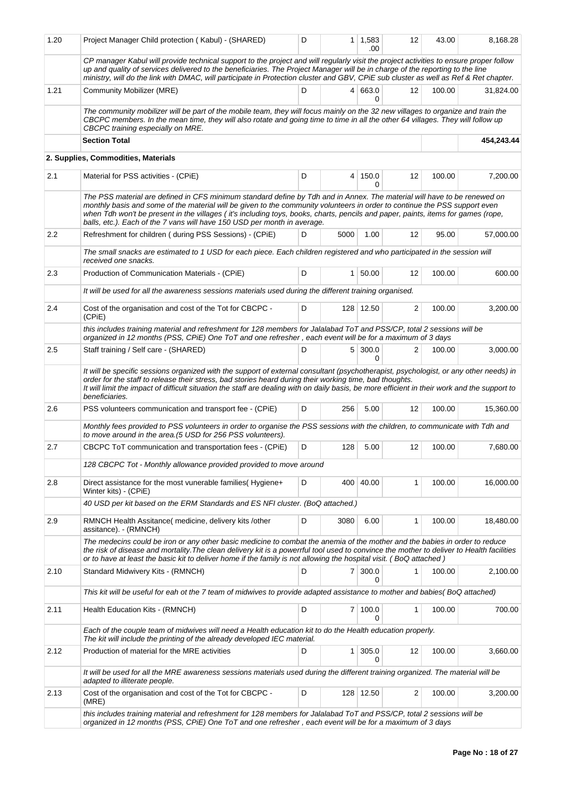| 1.20 | Project Manager Child protection (Kabul) - (SHARED)                                                                                                                                                                                                                                                                                                                                                                                                                    | D  |                | $1 \mid 1,583$<br>.00 | 12                | 43.00  | 8,168.28   |
|------|------------------------------------------------------------------------------------------------------------------------------------------------------------------------------------------------------------------------------------------------------------------------------------------------------------------------------------------------------------------------------------------------------------------------------------------------------------------------|----|----------------|-----------------------|-------------------|--------|------------|
|      | CP manager Kabul will provide technical support to the project and will regularly visit the project activities to ensure proper follow<br>up and quality of services delivered to the beneficiaries. The Project Manager will be in charge of the reporting to the line<br>ministry, will do the link with DMAC, will participate in Protection cluster and GBV, CPiE sub cluster as well as Ref & Ret chapter.                                                        |    |                |                       |                   |        |            |
| 1.21 | <b>Community Mobilizer (MRE)</b>                                                                                                                                                                                                                                                                                                                                                                                                                                       | D  |                | 4 663.0<br>0          | $12 \overline{ }$ | 100.00 | 31.824.00  |
|      | The community mobilizer will be part of the mobile team, they will focus mainly on the 32 new villages to organize and train the<br>CBCPC members. In the mean time, they will also rotate and going time to time in all the other 64 villages. They will follow up<br>CBCPC training especially on MRE.                                                                                                                                                               |    |                |                       |                   |        |            |
|      | <b>Section Total</b>                                                                                                                                                                                                                                                                                                                                                                                                                                                   |    |                |                       |                   |        | 454,243.44 |
|      | 2. Supplies, Commodities, Materials                                                                                                                                                                                                                                                                                                                                                                                                                                    |    |                |                       |                   |        |            |
| 2.1  | Material for PSS activities - (CPiE)                                                                                                                                                                                                                                                                                                                                                                                                                                   | D  | 4              | 150.0<br>0            | 12                | 100.00 | 7,200.00   |
|      | The PSS material are defined in CFS minimum standard define by Tdh and in Annex. The material will have to be renewed on<br>monthly basis and some of the material will be given to the community volunteers in order to continue the PSS support even<br>when Tdh won't be present in the villages (it's including toys, books, charts, pencils and paper, paints, items for games (rope,<br>balls, etc.). Each of the 7 vans will have 150 USD per month in average. |    |                |                       |                   |        |            |
| 2.2  | Refreshment for children (during PSS Sessions) - (CPiE)                                                                                                                                                                                                                                                                                                                                                                                                                | D. | 5000           | 1.00                  | 12                | 95.00  | 57,000.00  |
|      | The small snacks are estimated to 1 USD for each piece. Each children registered and who participated in the session will<br>received one snacks.                                                                                                                                                                                                                                                                                                                      |    |                |                       |                   |        |            |
| 2.3  | Production of Communication Materials - (CPiE)                                                                                                                                                                                                                                                                                                                                                                                                                         | D  | 1 <sup>1</sup> | 50.00                 | 12                | 100.00 | 600.00     |
|      | It will be used for all the awareness sessions materials used during the different training organised.                                                                                                                                                                                                                                                                                                                                                                 |    |                |                       |                   |        |            |
| 2.4  | Cost of the organisation and cost of the Tot for CBCPC -<br>(CPIE)                                                                                                                                                                                                                                                                                                                                                                                                     | D  |                | 128 12.50             | 2                 | 100.00 | 3,200.00   |
|      | this includes training material and refreshment for 128 members for Jalalabad ToT and PSS/CP, total 2 sessions will be<br>organized in 12 months (PSS, CPiE) One ToT and one refresher, each event will be for a maximum of 3 days                                                                                                                                                                                                                                     |    |                |                       |                   |        |            |
| 2.5  | Staff training / Self care - (SHARED)                                                                                                                                                                                                                                                                                                                                                                                                                                  | D  |                | $5 \mid 300.0$<br>0   | 2                 | 100.00 | 3,000.00   |
|      | It will be specific sessions organized with the support of external consultant (psychotherapist, psychologist, or any other needs) in<br>order for the staff to release their stress, bad stories heard during their working time, bad thoughts.<br>It will limit the impact of difficult situation the staff are dealing with on daily basis, be more efficient in their work and the support to<br>beneficiaries.                                                    |    |                |                       |                   |        |            |
| 2.6  | PSS volunteers communication and transport fee - (CPiE)                                                                                                                                                                                                                                                                                                                                                                                                                | D  | 256            | 5.00                  | 12                | 100.00 | 15,360.00  |
|      | Monthly fees provided to PSS volunteers in order to organise the PSS sessions with the children, to communicate with Tdh and<br>to move around in the area.(5 USD for 256 PSS volunteers).                                                                                                                                                                                                                                                                             |    |                |                       |                   |        |            |
| 2.7  | CBCPC ToT communication and transportation fees - (CPiE)                                                                                                                                                                                                                                                                                                                                                                                                               | D  | 128            | 5.00                  | 12                | 100.00 | 7,680.00   |
|      | 128 CBCPC Tot - Monthly allowance provided provided to move around                                                                                                                                                                                                                                                                                                                                                                                                     |    |                |                       |                   |        |            |
| 2.8  | Direct assistance for the most vunerable families (Hygiene+<br>Winter kits) - (CPiE)                                                                                                                                                                                                                                                                                                                                                                                   | D  | 400            | 40.00                 | $\mathbf{1}$      | 100.00 | 16,000.00  |
|      | 40 USD per kit based on the ERM Standards and ES NFI cluster. (BoQ attached.)                                                                                                                                                                                                                                                                                                                                                                                          |    |                |                       |                   |        |            |
| 2.9  | RMNCH Health Assitance (medicine, delivery kits /other<br>assitance). - (RMNCH)                                                                                                                                                                                                                                                                                                                                                                                        | D  | 3080           | 6.00                  | 1                 | 100.00 | 18,480.00  |
|      | The medecins could be iron or any other basic medicine to combat the anemia of the mother and the babies in order to reduce<br>the risk of disease and mortality. The clean delivery kit is a powerrful tool used to convince the mother to deliver to Health facilities<br>or to have at least the basic kit to deliver home if the family is not allowing the hospital visit. (BoQ attached)                                                                         |    |                |                       |                   |        |            |
| 2.10 | Standard Midwivery Kits - (RMNCH)                                                                                                                                                                                                                                                                                                                                                                                                                                      | D  |                | $7 \mid 300.0$<br>0   | 1                 | 100.00 | 2,100.00   |
|      | This kit will be useful for eah ot the 7 team of midwives to provide adapted assistance to mother and babies(BoQ attached)                                                                                                                                                                                                                                                                                                                                             |    |                |                       |                   |        |            |
| 2.11 | Health Education Kits - (RMNCH)                                                                                                                                                                                                                                                                                                                                                                                                                                        | D  |                | 7 100.0<br>0          | 1                 | 100.00 | 700.00     |
|      | Each of the couple team of midwives will need a Health education kit to do the Health education properly.<br>The kit will include the printing of the already developed IEC material.                                                                                                                                                                                                                                                                                  |    |                |                       |                   |        |            |
| 2.12 | Production of material for the MRE activities                                                                                                                                                                                                                                                                                                                                                                                                                          | D  | $\mathbf{1}$   | 305.0<br>0            | 12                | 100.00 | 3,660.00   |
|      | It will be used for all the MRE awareness sessions materials used during the different training organized. The material will be<br>adapted to illiterate people.                                                                                                                                                                                                                                                                                                       |    |                |                       |                   |        |            |
| 2.13 | Cost of the organisation and cost of the Tot for CBCPC -<br>(MRE)                                                                                                                                                                                                                                                                                                                                                                                                      | D  |                | 128 12.50             | 2                 | 100.00 | 3,200.00   |
|      | this includes training material and refreshment for 128 members for Jalalabad ToT and PSS/CP, total 2 sessions will be<br>organized in 12 months (PSS, CPiE) One ToT and one refresher, each event will be for a maximum of 3 days                                                                                                                                                                                                                                     |    |                |                       |                   |        |            |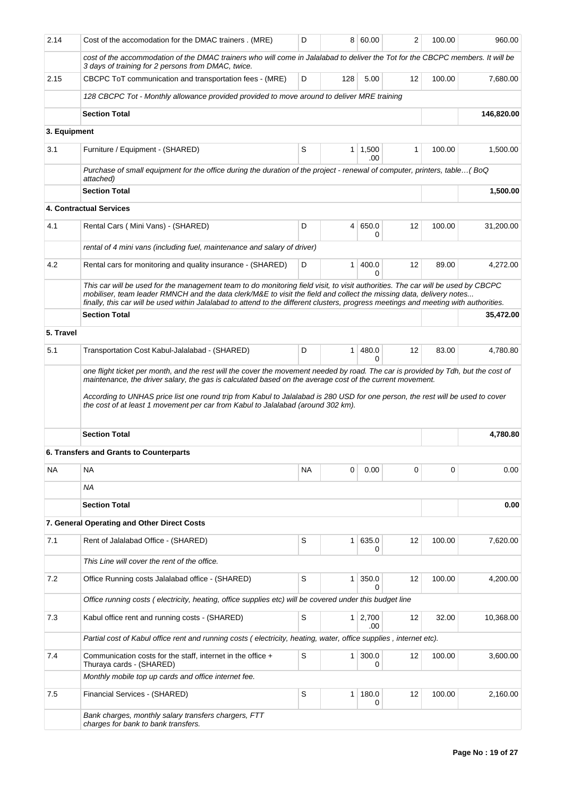| 2.14         | Cost of the accomodation for the DMAC trainers. (MRE)                                                                                                                                                                                                                                                                                                                                                                                                               | D  |                | 8 60.00      | $\overline{2}$ | 100.00 | 960.00     |
|--------------|---------------------------------------------------------------------------------------------------------------------------------------------------------------------------------------------------------------------------------------------------------------------------------------------------------------------------------------------------------------------------------------------------------------------------------------------------------------------|----|----------------|--------------|----------------|--------|------------|
|              | cost of the accommodation of the DMAC trainers who will come in Jalalabad to deliver the Tot for the CBCPC members. It will be<br>3 days of training for 2 persons from DMAC, twice.                                                                                                                                                                                                                                                                                |    |                |              |                |        |            |
| 2.15         | CBCPC ToT communication and transportation fees - (MRE)                                                                                                                                                                                                                                                                                                                                                                                                             | D  | 128            | 5.00         | 12             | 100.00 | 7,680.00   |
|              | 128 CBCPC Tot - Monthly allowance provided provided to move around to deliver MRE training                                                                                                                                                                                                                                                                                                                                                                          |    |                |              |                |        |            |
|              | <b>Section Total</b>                                                                                                                                                                                                                                                                                                                                                                                                                                                |    |                |              |                |        | 146,820.00 |
| 3. Equipment |                                                                                                                                                                                                                                                                                                                                                                                                                                                                     |    |                |              |                |        |            |
| 3.1          | Furniture / Equipment - (SHARED)                                                                                                                                                                                                                                                                                                                                                                                                                                    | S  | 1              | 1,500<br>.00 | 1              | 100.00 | 1,500.00   |
|              | Purchase of small equipment for the office during the duration of the project - renewal of computer, printers, table(BoQ<br>attached)                                                                                                                                                                                                                                                                                                                               |    |                |              |                |        |            |
|              | <b>Section Total</b>                                                                                                                                                                                                                                                                                                                                                                                                                                                |    |                |              |                |        | 1,500.00   |
|              | <b>4. Contractual Services</b>                                                                                                                                                                                                                                                                                                                                                                                                                                      |    |                |              |                |        |            |
| 4.1          | Rental Cars ( Mini Vans) - (SHARED)                                                                                                                                                                                                                                                                                                                                                                                                                                 | D  | $\overline{4}$ | 650.0<br>0   | 12             | 100.00 | 31,200.00  |
|              | rental of 4 mini vans (including fuel, maintenance and salary of driver)                                                                                                                                                                                                                                                                                                                                                                                            |    |                |              |                |        |            |
| 4.2          | Rental cars for monitoring and quality insurance - (SHARED)                                                                                                                                                                                                                                                                                                                                                                                                         | D  | 1              | 400.0<br>0   | 12             | 89.00  | 4,272.00   |
|              | This car will be used for the management team to do monitoring field visit, to visit authorities. The car will be used by CBCPC<br>mobiliser, team leader RMNCH and the data clerk/M&E to visit the field and collect the missing data, delivery notes<br>finally, this car will be used within Jalalabad to attend to the different clusters, progress meetings and meeting with authorities.                                                                      |    |                |              |                |        |            |
|              | <b>Section Total</b>                                                                                                                                                                                                                                                                                                                                                                                                                                                |    |                |              |                |        | 35,472.00  |
| 5. Travel    |                                                                                                                                                                                                                                                                                                                                                                                                                                                                     |    |                |              |                |        |            |
| 5.1          | Transportation Cost Kabul-Jalalabad - (SHARED)                                                                                                                                                                                                                                                                                                                                                                                                                      | D  | 1              | 480.0        | 12             | 83.00  | 4,780.80   |
|              | one flight ticket per month, and the rest will the cover the movement needed by road. The car is provided by Tdh, but the cost of<br>maintenance, the driver salary, the gas is calculated based on the average cost of the current movement.<br>According to UNHAS price list one round trip from Kabul to Jalalabad is 280 USD for one person, the rest will be used to cover<br>the cost of at least 1 movement per car from Kabul to Jalalabad (around 302 km). |    |                |              |                |        |            |
|              | <b>Section Total</b>                                                                                                                                                                                                                                                                                                                                                                                                                                                |    |                |              |                |        | 4.780.80   |
|              | 6. Transfers and Grants to Counterparts                                                                                                                                                                                                                                                                                                                                                                                                                             |    |                |              |                |        |            |
| ΝA           | NA                                                                                                                                                                                                                                                                                                                                                                                                                                                                  | ΝA | 0              | 0.00         | 0              | 0      | 0.00       |
|              | <b>NA</b>                                                                                                                                                                                                                                                                                                                                                                                                                                                           |    |                |              |                |        |            |
|              | <b>Section Total</b>                                                                                                                                                                                                                                                                                                                                                                                                                                                |    |                |              |                |        | 0.00       |
|              | 7. General Operating and Other Direct Costs                                                                                                                                                                                                                                                                                                                                                                                                                         |    |                |              |                |        |            |
|              |                                                                                                                                                                                                                                                                                                                                                                                                                                                                     |    |                |              |                |        |            |
| 7.1          | Rent of Jalalabad Office - (SHARED)                                                                                                                                                                                                                                                                                                                                                                                                                                 | S  | 1              | 635.0<br>0   | 12             | 100.00 | 7,620.00   |
|              | This Line will cover the rent of the office.                                                                                                                                                                                                                                                                                                                                                                                                                        |    |                |              |                |        |            |
| 7.2          | Office Running costs Jalalabad office - (SHARED)                                                                                                                                                                                                                                                                                                                                                                                                                    | S  | 1              | 350.0<br>0   | 12             | 100.00 | 4,200.00   |
|              | Office running costs (electricity, heating, office supplies etc) will be covered under this budget line                                                                                                                                                                                                                                                                                                                                                             |    |                |              |                |        |            |
| 7.3          | Kabul office rent and running costs - (SHARED)                                                                                                                                                                                                                                                                                                                                                                                                                      | S  | $\mathbf{1}$   | 2,700<br>.00 | 12             | 32.00  | 10,368.00  |
|              | Partial cost of Kabul office rent and running costs (electricity, heating, water, office supplies, internet etc).                                                                                                                                                                                                                                                                                                                                                   |    |                |              |                |        |            |
| 7.4          | Communication costs for the staff, internet in the office +<br>Thuraya cards - (SHARED)                                                                                                                                                                                                                                                                                                                                                                             | S  | 1              | 300.0<br>0   | 12             | 100.00 | 3,600.00   |
|              | Monthly mobile top up cards and office internet fee.                                                                                                                                                                                                                                                                                                                                                                                                                |    |                |              |                |        |            |
| 7.5          | Financial Services - (SHARED)                                                                                                                                                                                                                                                                                                                                                                                                                                       | S  | 1              | 180.0<br>0   | 12             | 100.00 | 2,160.00   |
|              | Bank charges, monthly salary transfers chargers, FTT<br>charges for bank to bank transfers.                                                                                                                                                                                                                                                                                                                                                                         |    |                |              |                |        |            |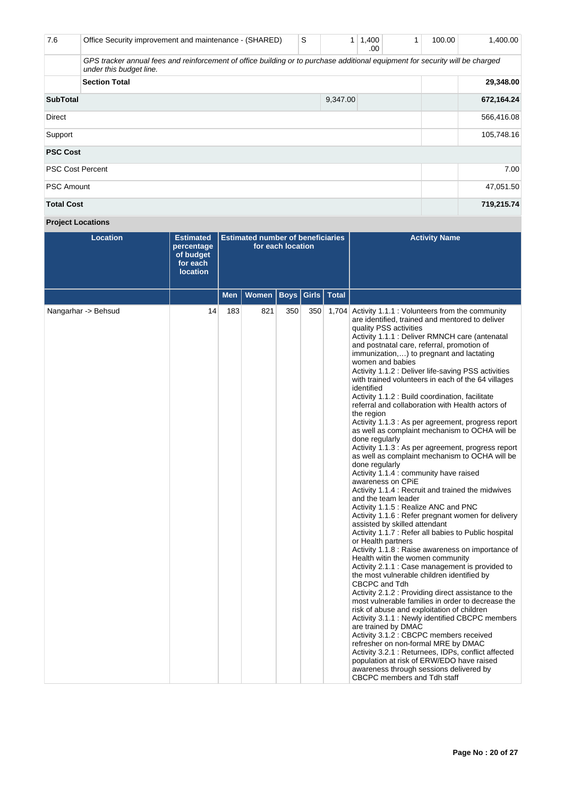| 7.6                     | Office Security improvement and maintenance - (SHARED)                                                                                                   | S | 1        | 1,400<br>.00 | 1 | 100.00 | 1,400.00   |
|-------------------------|----------------------------------------------------------------------------------------------------------------------------------------------------------|---|----------|--------------|---|--------|------------|
|                         | GPS tracker annual fees and reinforcement of office building or to purchase additional equipment for security will be charged<br>under this budget line. |   |          |              |   |        |            |
|                         | <b>Section Total</b>                                                                                                                                     |   |          |              |   |        | 29,348.00  |
| <b>SubTotal</b>         |                                                                                                                                                          |   | 9,347.00 |              |   |        | 672,164.24 |
| <b>Direct</b>           |                                                                                                                                                          |   |          |              |   |        | 566,416.08 |
| Support                 |                                                                                                                                                          |   |          |              |   |        | 105,748.16 |
| <b>PSC Cost</b>         |                                                                                                                                                          |   |          |              |   |        |            |
| <b>PSC Cost Percent</b> |                                                                                                                                                          |   |          |              |   |        | 7.00       |
| <b>PSC Amount</b>       |                                                                                                                                                          |   |          |              |   |        | 47,051.50  |
| <b>Total Cost</b>       |                                                                                                                                                          |   |          |              |   |        | 719,215.74 |

## **Project Locations**

| <b>Location</b>     | <b>Estimated</b><br>percentage<br>of budget<br>for each<br><b>location</b> |            | <b>Estimated number of beneficiaries</b><br>for each location |             |     |               | <b>Activity Name</b>                                                                                                                                                                                                                                                                                                                                                                                                                                                                                                                                                                                                                                                                                                                                                                                                                                                                                                                                                                                                                                                                                                                                                                                                                                                                                                                                                                                                                                                                                                                                                                                                                                                                                                                                                                                                                                                         |
|---------------------|----------------------------------------------------------------------------|------------|---------------------------------------------------------------|-------------|-----|---------------|------------------------------------------------------------------------------------------------------------------------------------------------------------------------------------------------------------------------------------------------------------------------------------------------------------------------------------------------------------------------------------------------------------------------------------------------------------------------------------------------------------------------------------------------------------------------------------------------------------------------------------------------------------------------------------------------------------------------------------------------------------------------------------------------------------------------------------------------------------------------------------------------------------------------------------------------------------------------------------------------------------------------------------------------------------------------------------------------------------------------------------------------------------------------------------------------------------------------------------------------------------------------------------------------------------------------------------------------------------------------------------------------------------------------------------------------------------------------------------------------------------------------------------------------------------------------------------------------------------------------------------------------------------------------------------------------------------------------------------------------------------------------------------------------------------------------------------------------------------------------------|
|                     |                                                                            | <b>Men</b> | <b>Women</b>                                                  | <b>Boys</b> |     | Girls   Total |                                                                                                                                                                                                                                                                                                                                                                                                                                                                                                                                                                                                                                                                                                                                                                                                                                                                                                                                                                                                                                                                                                                                                                                                                                                                                                                                                                                                                                                                                                                                                                                                                                                                                                                                                                                                                                                                              |
| Nangarhar -> Behsud | 14                                                                         | 183        | 821                                                           | 350         | 350 |               | 1,704 Activity 1.1.1 : Volunteers from the community<br>are identified, trained and mentored to deliver<br>quality PSS activities<br>Activity 1.1.1 : Deliver RMNCH care (antenatal<br>and postnatal care, referral, promotion of<br>immunization,) to pregnant and lactating<br>women and babies<br>Activity 1.1.2 : Deliver life-saving PSS activities<br>with trained volunteers in each of the 64 villages<br>identified<br>Activity 1.1.2 : Build coordination, facilitate<br>referral and collaboration with Health actors of<br>the region<br>Activity 1.1.3 : As per agreement, progress report<br>as well as complaint mechanism to OCHA will be<br>done regularly<br>Activity 1.1.3 : As per agreement, progress report<br>as well as complaint mechanism to OCHA will be<br>done regularly<br>Activity 1.1.4 : community have raised<br>awareness on CPIE<br>Activity 1.1.4 : Recruit and trained the midwives<br>and the team leader<br>Activity 1.1.5 : Realize ANC and PNC<br>Activity 1.1.6 : Refer pregnant women for delivery<br>assisted by skilled attendant<br>Activity 1.1.7 : Refer all babies to Public hospital<br>or Health partners<br>Activity 1.1.8 : Raise awareness on importance of<br>Health witin the women community<br>Activity 2.1.1 : Case management is provided to<br>the most vulnerable children identified by<br>CBCPC and Tdh<br>Activity 2.1.2 : Providing direct assistance to the<br>most vulnerable families in order to decrease the<br>risk of abuse and exploitation of children<br>Activity 3.1.1 : Newly identified CBCPC members<br>are trained by DMAC<br>Activity 3.1.2 : CBCPC members received<br>refresher on non-formal MRE by DMAC<br>Activity 3.2.1 : Returnees, IDPs, conflict affected<br>population at risk of ERW/EDO have raised<br>awareness through sessions delivered by<br>CBCPC members and Tdh staff |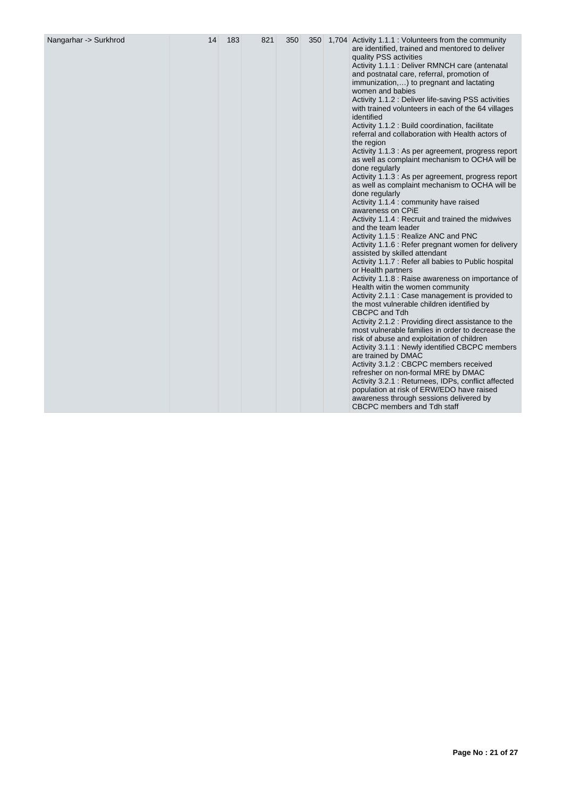| Nangarhar -> Surkhrod | 14 | 183 | 821 | 350 |  |  | 350 1,704 Activity 1.1.1 : Volunteers from the community<br>are identified, trained and mentored to deliver<br>quality PSS activities<br>Activity 1.1.1 : Deliver RMNCH care (antenatal<br>and postnatal care, referral, promotion of<br>immunization,) to pregnant and lactating<br>women and babies<br>Activity 1.1.2 : Deliver life-saving PSS activities<br>with trained volunteers in each of the 64 villages<br>identified<br>Activity 1.1.2 : Build coordination, facilitate<br>referral and collaboration with Health actors of<br>the region<br>Activity 1.1.3 : As per agreement, progress report<br>as well as complaint mechanism to OCHA will be<br>done regularly<br>Activity 1.1.3 : As per agreement, progress report<br>as well as complaint mechanism to OCHA will be<br>done regularly<br>Activity 1.1.4 : community have raised<br>awareness on CPIE<br>Activity 1.1.4 : Recruit and trained the midwives<br>and the team leader<br>Activity 1.1.5 : Realize ANC and PNC<br>Activity 1.1.6 : Refer pregnant women for delivery<br>assisted by skilled attendant<br>Activity 1.1.7 : Refer all babies to Public hospital<br>or Health partners<br>Activity 1.1.8 : Raise awareness on importance of<br>Health witin the women community<br>Activity 2.1.1 : Case management is provided to<br>the most vulnerable children identified by<br>CBCPC and Tdh<br>Activity 2.1.2 : Providing direct assistance to the<br>most vulnerable families in order to decrease the<br>risk of abuse and exploitation of children<br>Activity 3.1.1 : Newly identified CBCPC members<br>are trained by DMAC<br>Activity 3.1.2 : CBCPC members received<br>refresher on non-formal MRE by DMAC<br>Activity 3.2.1 : Returnees, IDPs, conflict affected<br>population at risk of ERW/EDO have raised<br>awareness through sessions delivered by |
|-----------------------|----|-----|-----|-----|--|--|---------------------------------------------------------------------------------------------------------------------------------------------------------------------------------------------------------------------------------------------------------------------------------------------------------------------------------------------------------------------------------------------------------------------------------------------------------------------------------------------------------------------------------------------------------------------------------------------------------------------------------------------------------------------------------------------------------------------------------------------------------------------------------------------------------------------------------------------------------------------------------------------------------------------------------------------------------------------------------------------------------------------------------------------------------------------------------------------------------------------------------------------------------------------------------------------------------------------------------------------------------------------------------------------------------------------------------------------------------------------------------------------------------------------------------------------------------------------------------------------------------------------------------------------------------------------------------------------------------------------------------------------------------------------------------------------------------------------------------------------------------------------------------------------------------------------------------------------------|
|-----------------------|----|-----|-----|-----|--|--|---------------------------------------------------------------------------------------------------------------------------------------------------------------------------------------------------------------------------------------------------------------------------------------------------------------------------------------------------------------------------------------------------------------------------------------------------------------------------------------------------------------------------------------------------------------------------------------------------------------------------------------------------------------------------------------------------------------------------------------------------------------------------------------------------------------------------------------------------------------------------------------------------------------------------------------------------------------------------------------------------------------------------------------------------------------------------------------------------------------------------------------------------------------------------------------------------------------------------------------------------------------------------------------------------------------------------------------------------------------------------------------------------------------------------------------------------------------------------------------------------------------------------------------------------------------------------------------------------------------------------------------------------------------------------------------------------------------------------------------------------------------------------------------------------------------------------------------------------|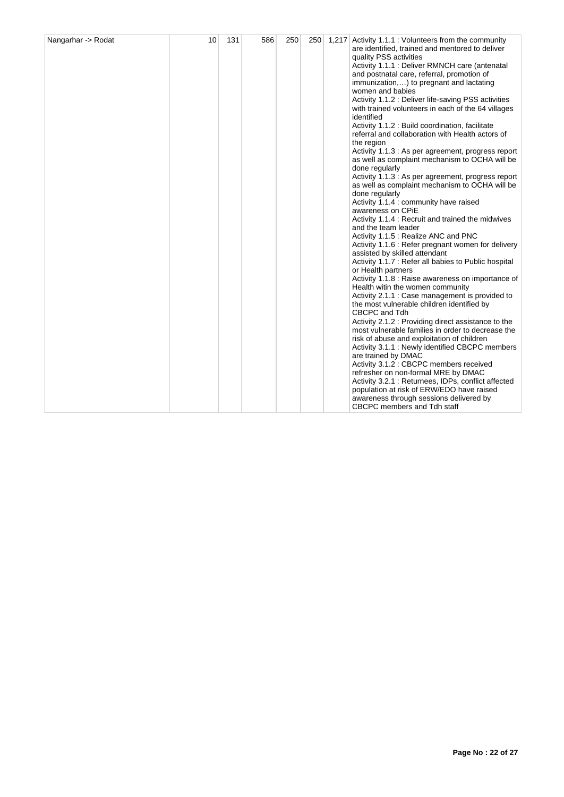| Nangarhar -> Rodat | 10 | 131 | 586 | 250 |  |  | 250 1,217 Activity 1.1.1 : Volunteers from the community<br>are identified, trained and mentored to deliver<br>quality PSS activities<br>Activity 1.1.1 : Deliver RMNCH care (antenatal<br>and postnatal care, referral, promotion of<br>immunization,) to pregnant and lactating<br>women and babies<br>Activity 1.1.2 : Deliver life-saving PSS activities<br>with trained volunteers in each of the 64 villages<br>identified<br>Activity 1.1.2 : Build coordination, facilitate<br>referral and collaboration with Health actors of<br>the region<br>Activity 1.1.3 : As per agreement, progress report<br>as well as complaint mechanism to OCHA will be<br>done regularly<br>Activity 1.1.3 : As per agreement, progress report<br>as well as complaint mechanism to OCHA will be<br>done regularly<br>Activity 1.1.4 : community have raised<br>awareness on CPIE<br>Activity 1.1.4 : Recruit and trained the midwives<br>and the team leader<br>Activity 1.1.5 : Realize ANC and PNC<br>Activity 1.1.6 : Refer pregnant women for delivery<br>assisted by skilled attendant<br>Activity 1.1.7 : Refer all babies to Public hospital<br>or Health partners<br>Activity 1.1.8 : Raise awareness on importance of<br>Health witin the women community<br>Activity 2.1.1 : Case management is provided to<br>the most vulnerable children identified by<br>CBCPC and Tdh<br>Activity 2.1.2 : Providing direct assistance to the<br>most vulnerable families in order to decrease the<br>risk of abuse and exploitation of children<br>Activity 3.1.1 : Newly identified CBCPC members<br>are trained by DMAC<br>Activity 3.1.2 : CBCPC members received<br>refresher on non-formal MRE by DMAC<br>Activity 3.2.1 : Returnees, IDPs, conflict affected<br>population at risk of ERW/EDO have raised<br>awareness through sessions delivered by<br>CBCPC members and Tdh staff |
|--------------------|----|-----|-----|-----|--|--|----------------------------------------------------------------------------------------------------------------------------------------------------------------------------------------------------------------------------------------------------------------------------------------------------------------------------------------------------------------------------------------------------------------------------------------------------------------------------------------------------------------------------------------------------------------------------------------------------------------------------------------------------------------------------------------------------------------------------------------------------------------------------------------------------------------------------------------------------------------------------------------------------------------------------------------------------------------------------------------------------------------------------------------------------------------------------------------------------------------------------------------------------------------------------------------------------------------------------------------------------------------------------------------------------------------------------------------------------------------------------------------------------------------------------------------------------------------------------------------------------------------------------------------------------------------------------------------------------------------------------------------------------------------------------------------------------------------------------------------------------------------------------------------------------------------------------------------------------------------------------------|
|--------------------|----|-----|-----|-----|--|--|----------------------------------------------------------------------------------------------------------------------------------------------------------------------------------------------------------------------------------------------------------------------------------------------------------------------------------------------------------------------------------------------------------------------------------------------------------------------------------------------------------------------------------------------------------------------------------------------------------------------------------------------------------------------------------------------------------------------------------------------------------------------------------------------------------------------------------------------------------------------------------------------------------------------------------------------------------------------------------------------------------------------------------------------------------------------------------------------------------------------------------------------------------------------------------------------------------------------------------------------------------------------------------------------------------------------------------------------------------------------------------------------------------------------------------------------------------------------------------------------------------------------------------------------------------------------------------------------------------------------------------------------------------------------------------------------------------------------------------------------------------------------------------------------------------------------------------------------------------------------------------|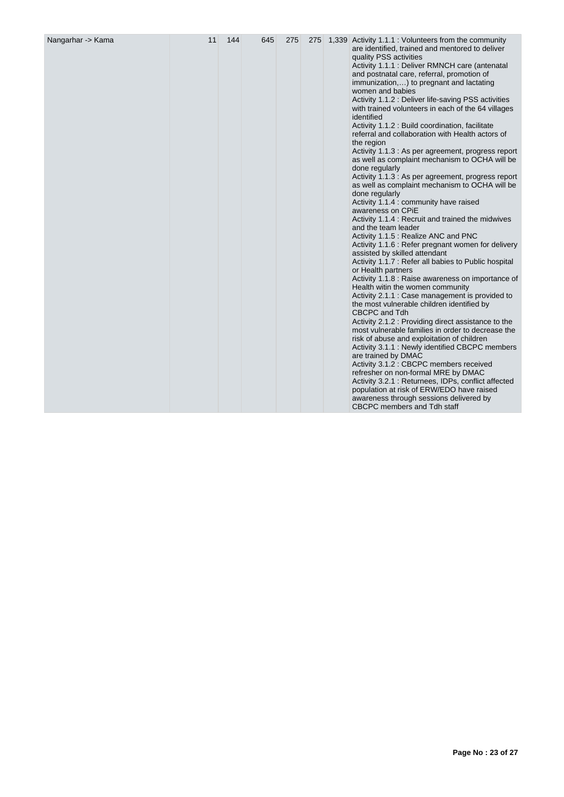| Nangarhar -> Kama | 11 | 144 | 645 | 275 |  |  | 275 1,339 Activity 1.1.1 : Volunteers from the community<br>are identified, trained and mentored to deliver<br>quality PSS activities<br>Activity 1.1.1 : Deliver RMNCH care (antenatal<br>and postnatal care, referral, promotion of<br>immunization,) to pregnant and lactating<br>women and babies<br>Activity 1.1.2 : Deliver life-saving PSS activities<br>with trained volunteers in each of the 64 villages<br>identified<br>Activity 1.1.2 : Build coordination, facilitate<br>referral and collaboration with Health actors of<br>the region<br>Activity 1.1.3 : As per agreement, progress report<br>as well as complaint mechanism to OCHA will be<br>done regularly<br>Activity 1.1.3 : As per agreement, progress report<br>as well as complaint mechanism to OCHA will be<br>done regularly<br>Activity 1.1.4 : community have raised<br>awareness on CPIE<br>Activity 1.1.4 : Recruit and trained the midwives<br>and the team leader<br>Activity 1.1.5 : Realize ANC and PNC<br>Activity 1.1.6 : Refer pregnant women for delivery<br>assisted by skilled attendant<br>Activity 1.1.7 : Refer all babies to Public hospital<br>or Health partners<br>Activity 1.1.8 : Raise awareness on importance of<br>Health witin the women community<br>Activity 2.1.1 : Case management is provided to<br>the most vulnerable children identified by<br>CBCPC and Tdh<br>Activity 2.1.2 : Providing direct assistance to the<br>most vulnerable families in order to decrease the<br>risk of abuse and exploitation of children<br>Activity 3.1.1 : Newly identified CBCPC members<br>are trained by DMAC<br>Activity 3.1.2 : CBCPC members received<br>refresher on non-formal MRE by DMAC<br>Activity 3.2.1: Returnees, IDPs, conflict affected<br>population at risk of ERW/EDO have raised<br>awareness through sessions delivered by<br>CBCPC members and Tdh staff |
|-------------------|----|-----|-----|-----|--|--|---------------------------------------------------------------------------------------------------------------------------------------------------------------------------------------------------------------------------------------------------------------------------------------------------------------------------------------------------------------------------------------------------------------------------------------------------------------------------------------------------------------------------------------------------------------------------------------------------------------------------------------------------------------------------------------------------------------------------------------------------------------------------------------------------------------------------------------------------------------------------------------------------------------------------------------------------------------------------------------------------------------------------------------------------------------------------------------------------------------------------------------------------------------------------------------------------------------------------------------------------------------------------------------------------------------------------------------------------------------------------------------------------------------------------------------------------------------------------------------------------------------------------------------------------------------------------------------------------------------------------------------------------------------------------------------------------------------------------------------------------------------------------------------------------------------------------------------------------------------------------------|
|-------------------|----|-----|-----|-----|--|--|---------------------------------------------------------------------------------------------------------------------------------------------------------------------------------------------------------------------------------------------------------------------------------------------------------------------------------------------------------------------------------------------------------------------------------------------------------------------------------------------------------------------------------------------------------------------------------------------------------------------------------------------------------------------------------------------------------------------------------------------------------------------------------------------------------------------------------------------------------------------------------------------------------------------------------------------------------------------------------------------------------------------------------------------------------------------------------------------------------------------------------------------------------------------------------------------------------------------------------------------------------------------------------------------------------------------------------------------------------------------------------------------------------------------------------------------------------------------------------------------------------------------------------------------------------------------------------------------------------------------------------------------------------------------------------------------------------------------------------------------------------------------------------------------------------------------------------------------------------------------------------|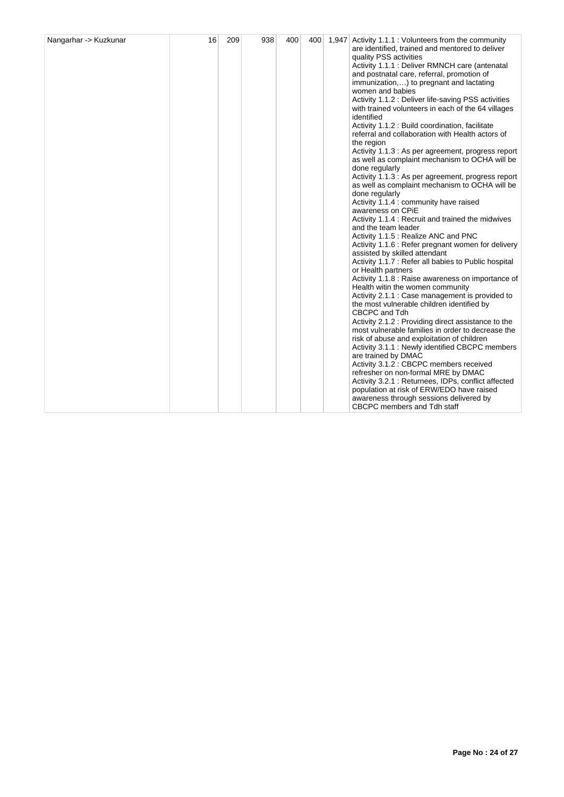|  |  |  |  |  |  |  | are identified, trained and mentored to deliver<br>quality PSS activities<br>Activity 1.1.1 : Deliver RMNCH care (antenatal<br>and postnatal care, referral, promotion of<br>immunization,) to pregnant and lactating<br>women and babies<br>Activity 1.1.2 : Deliver life-saving PSS activities<br>with trained volunteers in each of the 64 villages<br>identified<br>Activity 1.1.2 : Build coordination, facilitate<br>referral and collaboration with Health actors of<br>the region<br>Activity 1.1.3 : As per agreement, progress report<br>as well as complaint mechanism to OCHA will be<br>done regularly<br>Activity 1.1.3 : As per agreement, progress report<br>as well as complaint mechanism to OCHA will be<br>done regularly<br>Activity 1.1.4 : community have raised<br>awareness on CPIE<br>Activity 1.1.4 : Recruit and trained the midwives<br>and the team leader<br>Activity 1.1.5 : Realize ANC and PNC<br>Activity 1.1.6 : Refer pregnant women for delivery<br>assisted by skilled attendant<br>Activity 1.1.7 : Refer all babies to Public hospital<br>or Health partners<br>Activity 1.1.8 : Raise awareness on importance of<br>Health witin the women community<br>Activity 2.1.1 : Case management is provided to<br>the most vulnerable children identified by<br>CBCPC and Tdh<br>Activity 2.1.2 : Providing direct assistance to the<br>most vulnerable families in order to decrease the<br>risk of abuse and exploitation of children<br>Activity 3.1.1 : Newly identified CBCPC members<br>are trained by DMAC<br>Activity 3.1.2 : CBCPC members received<br>refresher on non-formal MRE by DMAC<br>Activity 3.2.1 : Returnees, IDPs, conflict affected<br>population at risk of ERW/EDO have raised |
|--|--|--|--|--|--|--|--------------------------------------------------------------------------------------------------------------------------------------------------------------------------------------------------------------------------------------------------------------------------------------------------------------------------------------------------------------------------------------------------------------------------------------------------------------------------------------------------------------------------------------------------------------------------------------------------------------------------------------------------------------------------------------------------------------------------------------------------------------------------------------------------------------------------------------------------------------------------------------------------------------------------------------------------------------------------------------------------------------------------------------------------------------------------------------------------------------------------------------------------------------------------------------------------------------------------------------------------------------------------------------------------------------------------------------------------------------------------------------------------------------------------------------------------------------------------------------------------------------------------------------------------------------------------------------------------------------------------------------------------------------------------------------------------------------------------------------------|
|--|--|--|--|--|--|--|--------------------------------------------------------------------------------------------------------------------------------------------------------------------------------------------------------------------------------------------------------------------------------------------------------------------------------------------------------------------------------------------------------------------------------------------------------------------------------------------------------------------------------------------------------------------------------------------------------------------------------------------------------------------------------------------------------------------------------------------------------------------------------------------------------------------------------------------------------------------------------------------------------------------------------------------------------------------------------------------------------------------------------------------------------------------------------------------------------------------------------------------------------------------------------------------------------------------------------------------------------------------------------------------------------------------------------------------------------------------------------------------------------------------------------------------------------------------------------------------------------------------------------------------------------------------------------------------------------------------------------------------------------------------------------------------------------------------------------------------|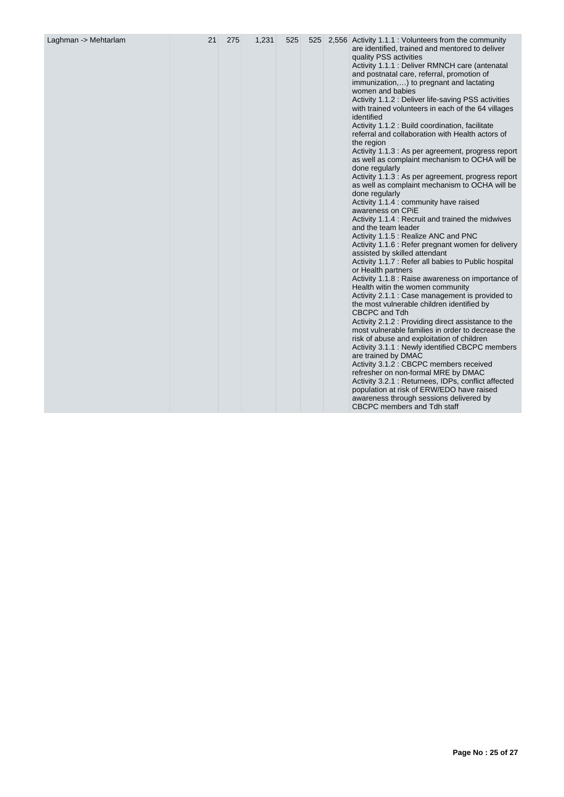| Laghman -> Mehtarlam | 21 | 275 | 1,231 | 525 |  |  | 525 2,556 Activity 1.1.1 : Volunteers from the community<br>are identified, trained and mentored to deliver<br>quality PSS activities<br>Activity 1.1.1 : Deliver RMNCH care (antenatal<br>and postnatal care, referral, promotion of<br>immunization,) to pregnant and lactating<br>women and babies<br>Activity 1.1.2 : Deliver life-saving PSS activities<br>with trained volunteers in each of the 64 villages<br>identified<br>Activity 1.1.2 : Build coordination, facilitate<br>referral and collaboration with Health actors of<br>the region<br>Activity 1.1.3 : As per agreement, progress report<br>as well as complaint mechanism to OCHA will be<br>done regularly<br>Activity 1.1.3 : As per agreement, progress report<br>as well as complaint mechanism to OCHA will be<br>done regularly<br>Activity 1.1.4 : community have raised<br>awareness on CPiE<br>Activity 1.1.4 : Recruit and trained the midwives<br>and the team leader<br>Activity 1.1.5 : Realize ANC and PNC<br>Activity 1.1.6 : Refer pregnant women for delivery<br>assisted by skilled attendant<br>Activity 1.1.7 : Refer all babies to Public hospital<br>or Health partners<br>Activity 1.1.8 : Raise awareness on importance of<br>Health witin the women community<br>Activity 2.1.1 : Case management is provided to<br>the most vulnerable children identified by<br>CBCPC and Tdh<br>Activity 2.1.2 : Providing direct assistance to the<br>most vulnerable families in order to decrease the<br>risk of abuse and exploitation of children<br>Activity 3.1.1 : Newly identified CBCPC members<br>are trained by DMAC<br>Activity 3.1.2 : CBCPC members received<br>refresher on non-formal MRE by DMAC<br>Activity 3.2.1: Returnees, IDPs, conflict affected<br>population at risk of ERW/EDO have raised<br>awareness through sessions delivered by<br>CBCPC members and Tdh staff |
|----------------------|----|-----|-------|-----|--|--|---------------------------------------------------------------------------------------------------------------------------------------------------------------------------------------------------------------------------------------------------------------------------------------------------------------------------------------------------------------------------------------------------------------------------------------------------------------------------------------------------------------------------------------------------------------------------------------------------------------------------------------------------------------------------------------------------------------------------------------------------------------------------------------------------------------------------------------------------------------------------------------------------------------------------------------------------------------------------------------------------------------------------------------------------------------------------------------------------------------------------------------------------------------------------------------------------------------------------------------------------------------------------------------------------------------------------------------------------------------------------------------------------------------------------------------------------------------------------------------------------------------------------------------------------------------------------------------------------------------------------------------------------------------------------------------------------------------------------------------------------------------------------------------------------------------------------------------------------------------------------------|
|----------------------|----|-----|-------|-----|--|--|---------------------------------------------------------------------------------------------------------------------------------------------------------------------------------------------------------------------------------------------------------------------------------------------------------------------------------------------------------------------------------------------------------------------------------------------------------------------------------------------------------------------------------------------------------------------------------------------------------------------------------------------------------------------------------------------------------------------------------------------------------------------------------------------------------------------------------------------------------------------------------------------------------------------------------------------------------------------------------------------------------------------------------------------------------------------------------------------------------------------------------------------------------------------------------------------------------------------------------------------------------------------------------------------------------------------------------------------------------------------------------------------------------------------------------------------------------------------------------------------------------------------------------------------------------------------------------------------------------------------------------------------------------------------------------------------------------------------------------------------------------------------------------------------------------------------------------------------------------------------------------|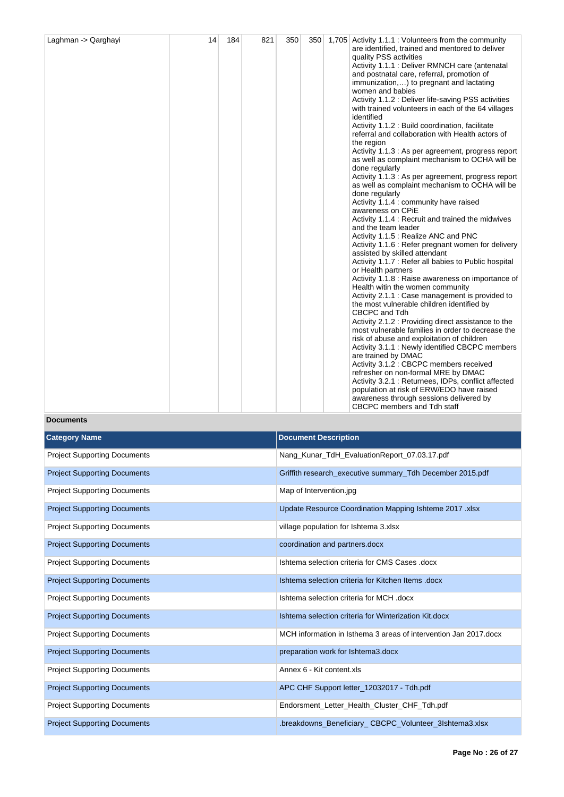| Laghman -> Qarghayi | 14 | 184 | 821 | 350 |  |  | 350 1,705 Activity 1.1.1 : Volunteers from the community<br>are identified, trained and mentored to deliver<br>quality PSS activities<br>Activity 1.1.1 : Deliver RMNCH care (antenatal<br>and postnatal care, referral, promotion of<br>immunization,) to pregnant and lactating<br>women and babies<br>Activity 1.1.2 : Deliver life-saving PSS activities<br>with trained volunteers in each of the 64 villages<br>identified<br>Activity 1.1.2 : Build coordination, facilitate<br>referral and collaboration with Health actors of<br>the region<br>Activity 1.1.3 : As per agreement, progress report<br>as well as complaint mechanism to OCHA will be<br>done regularly<br>Activity 1.1.3 : As per agreement, progress report<br>as well as complaint mechanism to OCHA will be<br>done regularly<br>Activity 1.1.4 : community have raised<br>awareness on CPiE<br>Activity 1.1.4 : Recruit and trained the midwives<br>and the team leader<br>Activity 1.1.5 : Realize ANC and PNC<br>Activity 1.1.6 : Refer pregnant women for delivery<br>assisted by skilled attendant<br>Activity 1.1.7 : Refer all babies to Public hospital<br>or Health partners<br>Activity 1.1.8 : Raise awareness on importance of<br>Health witin the women community<br>Activity 2.1.1 : Case management is provided to<br>the most vulnerable children identified by<br>CBCPC and Tdh<br>Activity 2.1.2 : Providing direct assistance to the<br>most vulnerable families in order to decrease the<br>risk of abuse and exploitation of children<br>Activity 3.1.1 : Newly identified CBCPC members<br>are trained by DMAC<br>Activity 3.1.2 : CBCPC members received<br>refresher on non-formal MRE by DMAC<br>Activity 3.2.1 : Returnees, IDPs, conflict affected<br>population at risk of ERW/EDO have raised<br>awareness through sessions delivered by<br>CBCPC members and Tdh staff |
|---------------------|----|-----|-----|-----|--|--|----------------------------------------------------------------------------------------------------------------------------------------------------------------------------------------------------------------------------------------------------------------------------------------------------------------------------------------------------------------------------------------------------------------------------------------------------------------------------------------------------------------------------------------------------------------------------------------------------------------------------------------------------------------------------------------------------------------------------------------------------------------------------------------------------------------------------------------------------------------------------------------------------------------------------------------------------------------------------------------------------------------------------------------------------------------------------------------------------------------------------------------------------------------------------------------------------------------------------------------------------------------------------------------------------------------------------------------------------------------------------------------------------------------------------------------------------------------------------------------------------------------------------------------------------------------------------------------------------------------------------------------------------------------------------------------------------------------------------------------------------------------------------------------------------------------------------------------------------------------------------------|
|---------------------|----|-----|-----|-----|--|--|----------------------------------------------------------------------------------------------------------------------------------------------------------------------------------------------------------------------------------------------------------------------------------------------------------------------------------------------------------------------------------------------------------------------------------------------------------------------------------------------------------------------------------------------------------------------------------------------------------------------------------------------------------------------------------------------------------------------------------------------------------------------------------------------------------------------------------------------------------------------------------------------------------------------------------------------------------------------------------------------------------------------------------------------------------------------------------------------------------------------------------------------------------------------------------------------------------------------------------------------------------------------------------------------------------------------------------------------------------------------------------------------------------------------------------------------------------------------------------------------------------------------------------------------------------------------------------------------------------------------------------------------------------------------------------------------------------------------------------------------------------------------------------------------------------------------------------------------------------------------------------|

## **Documents**

| <b>Category Name</b>                | <b>Document Description</b>                                      |
|-------------------------------------|------------------------------------------------------------------|
| <b>Project Supporting Documents</b> | Nang_Kunar_TdH_EvaluationReport_07.03.17.pdf                     |
| <b>Project Supporting Documents</b> | Griffith research_executive summary_Tdh December 2015.pdf        |
| <b>Project Supporting Documents</b> | Map of Intervention.jpg                                          |
| <b>Project Supporting Documents</b> | Update Resource Coordination Mapping Ishteme 2017 .xlsx          |
| <b>Project Supporting Documents</b> | village population for Ishtema 3.xlsx                            |
| <b>Project Supporting Documents</b> | coordination and partners.docx                                   |
| <b>Project Supporting Documents</b> | Ishtema selection criteria for CMS Cases .docx                   |
| <b>Project Supporting Documents</b> | Ishtema selection criteria for Kitchen Items .docx               |
| <b>Project Supporting Documents</b> | Ishtema selection criteria for MCH .docx                         |
| <b>Project Supporting Documents</b> | Ishtema selection criteria for Winterization Kit.docx            |
| <b>Project Supporting Documents</b> | MCH information in Isthema 3 areas of intervention Jan 2017.docx |
| <b>Project Supporting Documents</b> | preparation work for Ishtema3.docx                               |
| <b>Project Supporting Documents</b> | Annex 6 - Kit content.xls                                        |
| <b>Project Supporting Documents</b> | APC CHF Support letter_12032017 - Tdh.pdf                        |
| <b>Project Supporting Documents</b> | Endorsment_Letter_Health_Cluster_CHF_Tdh.pdf                     |
| <b>Project Supporting Documents</b> | breakdowns Beneficiary CBCPC Volunteer 3Ishtema3.xlsx            |